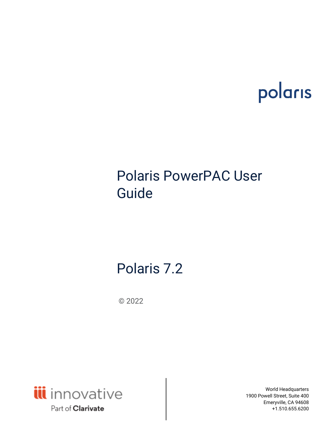# polaris

# Polaris PowerPAC User Guide

# Polaris 7.2

© 2022



World Headquarters 1900 Powell Street, Suite 400 Emeryville, CA 94608 +1.510.655.6200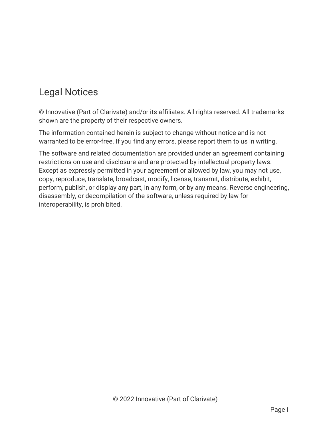# Legal Notices

© Innovative (Part of Clarivate) and/or its affiliates. All rights reserved. All trademarks shown are the property of their respective owners.

The information contained herein is subject to change without notice and is not warranted to be error-free. If you find any errors, please report them to us in writing.

The software and related documentation are provided under an agreement containing restrictions on use and disclosure and are protected by intellectual property laws. Except as expressly permitted in your agreement or allowed by law, you may not use, copy, reproduce, translate, broadcast, modify, license, transmit, distribute, exhibit, perform, publish, or display any part, in any form, or by any means. Reverse engineering, disassembly, or decompilation of the software, unless required by law for interoperability, is prohibited.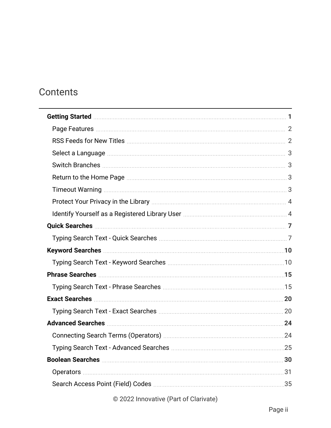# **Contents**

| Getting Started <b>Material Communities</b> 1                                 |  |
|-------------------------------------------------------------------------------|--|
|                                                                               |  |
|                                                                               |  |
|                                                                               |  |
|                                                                               |  |
|                                                                               |  |
|                                                                               |  |
|                                                                               |  |
| Identify Yourself as a Registered Library User [11] Matter Manuscritt, 2014 4 |  |
|                                                                               |  |
|                                                                               |  |
|                                                                               |  |
|                                                                               |  |
|                                                                               |  |
|                                                                               |  |
| Exact Searches 20                                                             |  |
|                                                                               |  |
|                                                                               |  |
|                                                                               |  |
|                                                                               |  |
|                                                                               |  |
|                                                                               |  |
|                                                                               |  |
|                                                                               |  |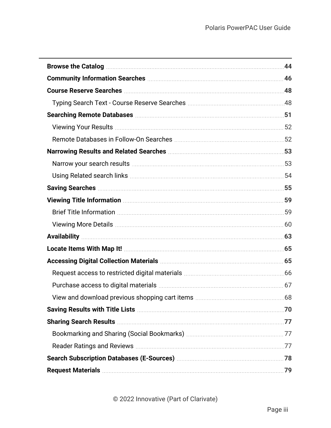| Browse the Catalog <b>Manual Communities</b> and the Catalog <b>Communities</b> and the Catalog <b>Communities</b> and the Catalog <b>Communities</b>                                                                                |  |  |
|--------------------------------------------------------------------------------------------------------------------------------------------------------------------------------------------------------------------------------------|--|--|
| Community Information Searches <b>Manual Accord Community Information</b> 46                                                                                                                                                         |  |  |
|                                                                                                                                                                                                                                      |  |  |
|                                                                                                                                                                                                                                      |  |  |
|                                                                                                                                                                                                                                      |  |  |
|                                                                                                                                                                                                                                      |  |  |
|                                                                                                                                                                                                                                      |  |  |
| Narrowing Results and Related Searches <b>Marrowing Community</b> 53                                                                                                                                                                 |  |  |
|                                                                                                                                                                                                                                      |  |  |
|                                                                                                                                                                                                                                      |  |  |
|                                                                                                                                                                                                                                      |  |  |
| Viewing Title Information <b>Manual Excession Contract 19 and 19 and 19 and 19 and 19 and 19 and 19 and 19 and 19 and 19 and 19 and 19 and 19 and 19 and 19 and 19 and 19 and 19 and 19 and 19 and 19 and 19 and 19 and 19 and 1</b> |  |  |
|                                                                                                                                                                                                                                      |  |  |
|                                                                                                                                                                                                                                      |  |  |
|                                                                                                                                                                                                                                      |  |  |
|                                                                                                                                                                                                                                      |  |  |
|                                                                                                                                                                                                                                      |  |  |
|                                                                                                                                                                                                                                      |  |  |
|                                                                                                                                                                                                                                      |  |  |
|                                                                                                                                                                                                                                      |  |  |
| Saving Results with Title Lists <b>Manual According to the ULIA</b> 70                                                                                                                                                               |  |  |
| Sharing Search Results <b>Manual Accord 2018</b> 77                                                                                                                                                                                  |  |  |
|                                                                                                                                                                                                                                      |  |  |
|                                                                                                                                                                                                                                      |  |  |
|                                                                                                                                                                                                                                      |  |  |
|                                                                                                                                                                                                                                      |  |  |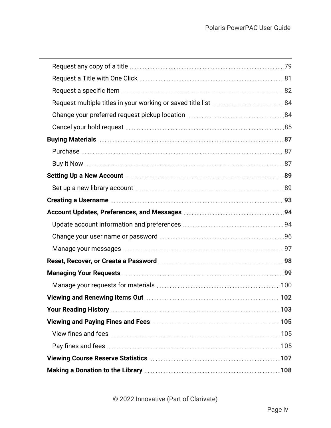| Cancel your hold request manufactured and the cancel with the state of the state of the state of the state of t        |      |
|------------------------------------------------------------------------------------------------------------------------|------|
|                                                                                                                        |      |
|                                                                                                                        |      |
|                                                                                                                        |      |
|                                                                                                                        |      |
|                                                                                                                        |      |
| Creating a Username <b>Manual According to the USA</b> 93                                                              |      |
|                                                                                                                        |      |
|                                                                                                                        |      |
|                                                                                                                        |      |
|                                                                                                                        |      |
| Reset, Recover, or Create a Password Material Accords and the Sea of the Sea of the Sea of the Sea of the Sea o        |      |
| Managing Your Requests <b>Managing Your Requests</b> Managing Managing Your Requests Managing Washington Managing Mana |      |
|                                                                                                                        |      |
|                                                                                                                        |      |
|                                                                                                                        | .103 |
| Viewing and Paying Fines and Fees <b>Manual Accord Paying Accord Paying Street</b> 105                                 |      |
|                                                                                                                        |      |
|                                                                                                                        |      |
|                                                                                                                        |      |
| Making a Donation to the Library <b>Making and Strategie and Strategie and Strategie and Strategie and Strategie a</b> |      |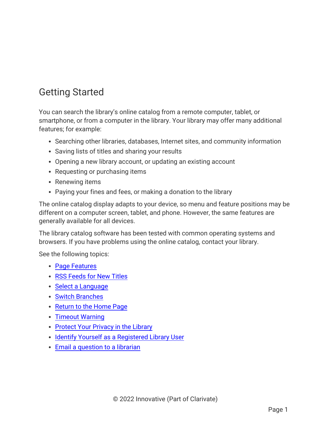# <span id="page-5-0"></span>Getting Started

You can search the library's online catalog from a remote computer, tablet, or smartphone, or from a computer in the library. Your library may offer many additional features; for example:

- Searching other libraries, databases, Internet sites, and community information
- Saving lists of titles and sharing your results
- Opening a new library account, or updating an existing account
- Requesting or purchasing items
- Renewing items
- Paying your fines and fees, or making a donation to the library

The online catalog display adapts to your device, so menu and feature positions may be different on a computer screen, tablet, and phone. However, the same features are generally available for all devices.

The library catalog software has been tested with common operating systems and browsers. If you have problems using the online catalog, contact your library.

See the following topics:

- Page [Features](#page-6-0)
- RSS [Feeds](#page-6-1) for New Titles
- Select a [Language](#page-7-0)
- Switch [Branches](#page-7-1)
- [Return](#page-7-2) to the Home Page
- [Timeout](#page-7-3) Warning
- [Protect](#page-8-0) Your Privacy in the Library
- Identify Yourself as a [Registered](#page-8-1) Library User
- Email a [question](#page-10-0) to a librarian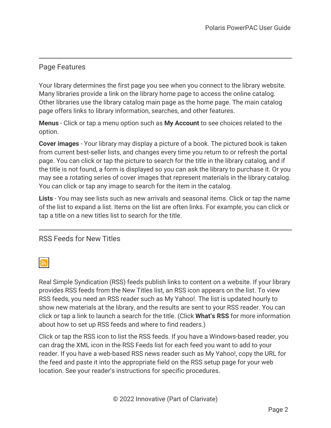# <span id="page-6-0"></span>Page Features

Your library determines the first page you see when you connect to the library website. Many libraries provide a link on the library home page to access the online catalog. Other libraries use the library catalog main page as the home page. The main catalog page offers links to library information, searches, and other features.

**Menus** - Click or tap a menu option such as **My Account** to see choices related to the option.

**Cover images** - Your library may display a picture of a book. The pictured book is taken from current best-seller lists, and changes every time you return to or refresh the portal page. You can click or tap the picture to search for the title in the library catalog, and if the title is not found, a form is displayed so you can ask the library to purchase it. Or you may see a rotating series of cover images that represent materials in the library catalog. You can click or tap any image to search for the item in the catalog.

**Lists** - You may see lists such as new arrivals and seasonal items. Click or tap the name of the list to expand a list. Items on the list are often links. For example, you can click or tap a title on a new titles list to search for the title.

## <span id="page-6-1"></span>RSS Feeds for New Titles

# <u>। ਵਿੱ</u>

Real Simple Syndication (RSS) feeds publish links to content on a website. If your library provides RSS feeds from the New Titles list, an RSS icon appears on the list. To view RSS feeds, you need an RSS reader such as My Yahoo!. The list is updated hourly to show new materials at the library, and the results are sent to your RSS reader. You can click or tap a link to launch a search for the title. (Click **What's RSS** for more information about how to set up RSS feeds and where to find readers.)

Click or tap the RSS icon to list the RSS feeds. If you have a Windows-based reader, you can drag the XML icon in the RSS Feeds list for each feed you want to add to your reader. If you have a web-based RSS news reader such as My Yahoo!, copy the URL for the feed and paste it into the appropriate field on the RSS setup page for your web location. See your reader's instructions for specific procedures.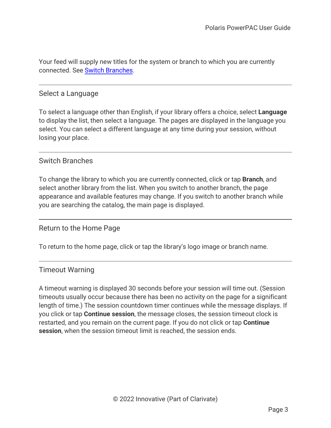<span id="page-7-0"></span>Your feed will supply new titles for the system or branch to which you are currently connected. See Switch [Branches.](#page-7-1)

#### Select a Language

To select a language other than English, if your library offers a choice, select **Language** to display the list, then select a language. The pages are displayed in the language you select. You can select a different language at any time during your session, without losing your place.

#### <span id="page-7-1"></span>Switch Branches

To change the library to which you are currently connected, click or tap **Branch**, and select another library from the list. When you switch to another branch, the page appearance and available features may change. If you switch to another branch while you are searching the catalog, the main page is displayed.

## <span id="page-7-2"></span>Return to the Home Page

<span id="page-7-3"></span>To return to the home page, click or tap the library's logo image or branch name.

## Timeout Warning

A timeout warning is displayed 30 seconds before your session will time out. (Session timeouts usually occur because there has been no activity on the page for a significant length of time.) The session countdown timer continues while the message displays. If you click or tap **Continue session**, the message closes, the session timeout clock is restarted, and you remain on the current page. If you do not click or tap **Continue session**, when the session timeout limit is reached, the session ends.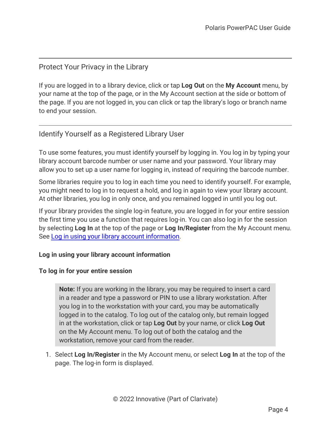## <span id="page-8-0"></span>Protect Your Privacy in the Library

If you are logged in to a library device, click or tap **Log Out** on the **My Account** menu, by your name at the top of the page, or in the My Account section at the side or bottom of the page. If you are not logged in, you can click or tap the library's logo or branch name to end your session.

# <span id="page-8-1"></span>Identify Yourself as a Registered Library User

To use some features, you must identify yourself by logging in. You log in by typing your library account barcode number or user name and your password. Your library may allow you to set up a user name for logging in, instead of requiring the barcode number.

Some libraries require you to log in each time you need to identify yourself. For example, you might need to log in to request a hold, and log in again to view your library account. At other libraries, you log in only once, and you remained logged in until you log out.

If your library provides the single log-in feature, you are logged in for your entire session the first time you use a function that requires log-in. You can also log in for the session by selecting **Log In** at the top of the page or **Log In/Register** from the My Account menu. See Log in using your library account [information.](#page-8-2)

#### <span id="page-8-2"></span>**Log in using your library account information**

#### **To log in for your entire session**

**Note:** If you are working in the library, you may be required to insert a card in a reader and type a password or PIN to use a library workstation. After you log in to the workstation with your card, you may be automatically logged in to the catalog. To log out of the catalog only, but remain logged in at the workstation, click or tap **Log Out** by your name, or click **Log Out** on the My Account menu. To log out of both the catalog and the workstation, remove your card from the reader.

1. Select **Log In/Register** in the My Account menu, or select **Log In** at the top of the page. The log-in form is displayed.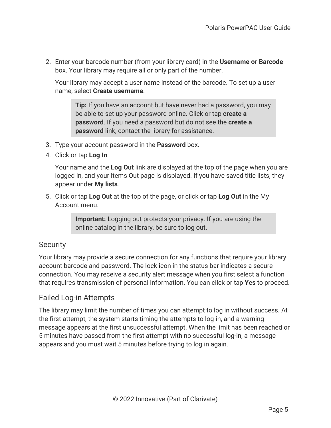2. Enter your barcode number (from your library card) in the **Username or Barcode** box. Your library may require all or only part of the number.

Your library may accept a user name instead of the barcode. To set up a user name, select **Create username**.

**Tip:** If you have an account but have never had a password, you may be able to set up your password online. Click or tap **create a password**. If you need a password but do not see the **create a password** link, contact the library for assistance.

- 3. Type your account password in the **Password** box.
- 4. Click or tap **Log In**.

Your name and the **Log Out** link are displayed at the top of the page when you are logged in, and your Items Out page is displayed. If you have saved title lists, they appear under **My lists**.

5. Click or tap **Log Out** at the top of the page, or click or tap **Log Out** in the My Account menu.

> **Important:** Logging out protects your privacy. If you are using the online catalog in the library, be sure to log out.

# **Security**

Your library may provide a secure connection for any functions that require your library account barcode and password. The lock icon in the status bar indicates a secure connection. You may receive a security alert message when you first select a function that requires transmission of personal information. You can click or tap **Yes** to proceed.

# Failed Log-in Attempts

The library may limit the number of times you can attempt to log in without success. At the first attempt, the system starts timing the attempts to log-in, and a warning message appears at the first unsuccessful attempt. When the limit has been reached or 5 minutes have passed from the first attempt with no successful log-in, a message appears and you must wait 5 minutes before trying to log in again.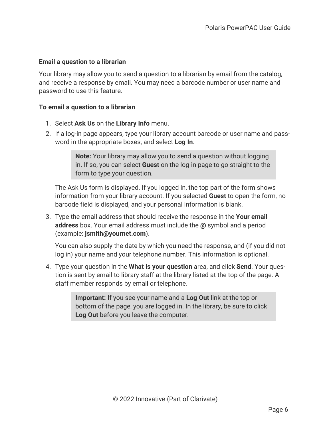## <span id="page-10-0"></span>**Email a question to a librarian**

Your library may allow you to send a question to a librarian by email from the catalog, and receive a response by email. You may need a barcode number or user name and password to use this feature.

## **To email a question to a librarian**

- 1. Select **Ask Us** on the **Library Info** menu.
- 2. If a log-in page appears, type your library account barcode or user name and password in the appropriate boxes, and select **Log In**.

**Note:** Your library may allow you to send a question without logging in. If so, you can select **Guest** on the log-in page to go straight to the form to type your question.

The Ask Us form is displayed. If you logged in, the top part of the form shows information from your library account. If you selected **Guest** to open the form, no barcode field is displayed, and your personal information is blank.

3. Type the email address that should receive the response in the **Your email address** box. Your email address must include the **@** symbol and a period (example: **jsmith@yournet.com**).

You can also supply the date by which you need the response, and (if you did not log in) your name and your telephone number. This information is optional.

4. Type your question in the **What is your question** area, and click **Send**. Your question is sent by email to library staff at the library listed at the top of the page. A staff member responds by email or telephone.

> **Important:** If you see your name and a **Log Out** link at the top or bottom of the page, you are logged in. In the library, be sure to click **Log Out** before you leave the computer.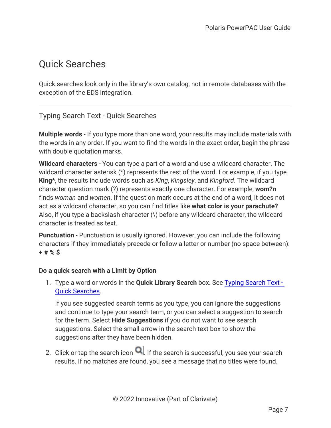# <span id="page-11-0"></span>Quick Searches

<span id="page-11-1"></span>Quick searches look only in the library's own catalog, not in remote databases with the exception of the EDS integration.

# Typing Search Text - Quick Searches

**Multiple words** - If you type more than one word, your results may include materials with the words in any order. If you want to find the words in the exact order, begin the phrase with double quotation marks.

**Wildcard characters** - You can type a part of a word and use a wildcard character. The wildcard character asterisk (\*) represents the rest of the word. For example, if you type **King\***, the results include words such as *King*, *Kingsley*, and *Kingford*. The wildcard character question mark (?) represents exactly one character. For example, **wom?n** finds *woman* and *women*. If the question mark occurs at the end of a word, it does not act as a wildcard character, so you can find titles like **what color is your parachute?** Also, if you type a backslash character (\) before any wildcard character, the wildcard character is treated as text.

**Punctuation** - Punctuation is usually ignored. However, you can include the following characters if they immediately precede or follow a letter or number (no space between): **+ # % \$**

## **Do a quick search with a Limit by Option**

1. Type a word or words in the **Quick Library Search** box. See Typing [Search](#page-11-1) Text - Quick [Searches.](#page-11-1)

If you see suggested search terms as you type, you can ignore the suggestions and continue to type your search term, or you can select a suggestion to search for the term. Select **Hide Suggestions** if you do not want to see search suggestions. Select the small arrow in the search text box to show the suggestions after they have been hidden.

2. Click or tap the search icon  $\Box$ . If the search is successful, you see your search results. If no matches are found, you see a message that no titles were found.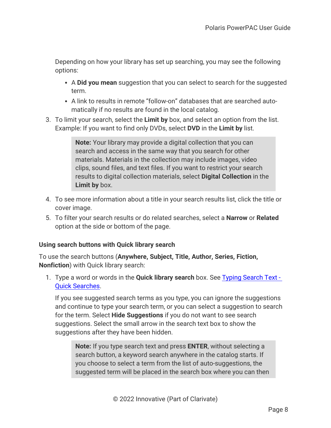Depending on how your library has set up searching, you may see the following options:

- A **Did you mean** suggestion that you can select to search for the suggested term.
- A link to results in remote "follow-on" databases that are searched automatically if no results are found in the local catalog.
- 3. To limit your search, select the **Limit by** box, and select an option from the list. Example: If you want to find only DVDs, select **DVD** in the **Limit by** list.

**Note:** Your library may provide a digital collection that you can search and access in the same way that you search for other materials. Materials in the collection may include images, video clips, sound files, and text files. If you want to restrict your search results to digital collection materials, select **Digital Collection** in the **Limit by** box.

- 4. To see more information about a title in your search results list, click the title or cover image.
- 5. To filter your search results or do related searches, select a **Narrow** or **Related** option at the side or bottom of the page.

## **Using search buttons with Quick library search**

To use the search buttons (**Anywhere, Subject, Title, Author, Series, Fiction, Nonfiction**) with Quick library search:

1. Type a word or words in the **Quick library search** box. See Typing [Search](#page-11-1) Text - Quick [Searches.](#page-11-1)

If you see suggested search terms as you type, you can ignore the suggestions and continue to type your search term, or you can select a suggestion to search for the term. Select **Hide Suggestions** if you do not want to see search suggestions. Select the small arrow in the search text box to show the suggestions after they have been hidden.

**Note:** If you type search text and press **ENTER**, without selecting a search button, a keyword search anywhere in the catalog starts. If you choose to select a term from the list of auto-suggestions, the suggested term will be placed in the search box where you can then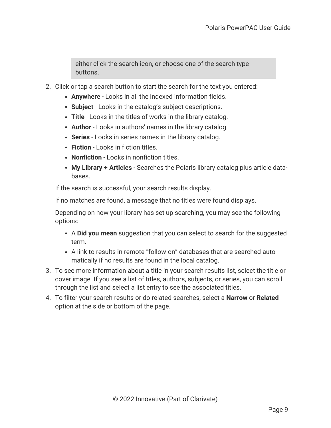either click the search icon, or choose one of the search type buttons.

- 2. Click or tap a search button to start the search for the text you entered:
	- **Anywhere** Looks in all the indexed information fields.
	- **Subject** Looks in the catalog's subject descriptions.
	- **Title** Looks in the titles of works in the library catalog.
	- **Author** Looks in authors' names in the library catalog.
	- **Series** Looks in series names in the library catalog.
	- **Fiction** Looks in fiction titles.
	- **Nonfiction** Looks in nonfiction titles.
	- **My Library + Articles** Searches the Polaris library catalog plus article databases.

If the search is successful, your search results display.

If no matches are found, a message that no titles were found displays.

Depending on how your library has set up searching, you may see the following options:

- A **Did you mean** suggestion that you can select to search for the suggested term.
- A link to results in remote "follow-on" databases that are searched automatically if no results are found in the local catalog.
- 3. To see more information about a title in your search results list, select the title or cover image. If you see a list of titles, authors, subjects, or series, you can scroll through the list and select a list entry to see the associated titles.
- 4. To filter your search results or do related searches, select a **Narrow** or **Related** option at the side or bottom of the page.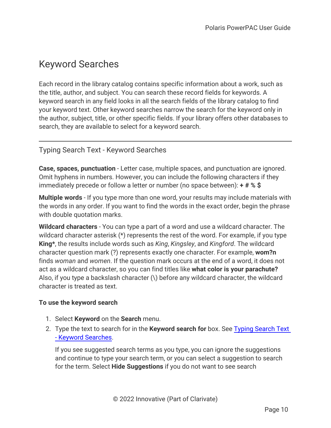# <span id="page-14-0"></span>Keyword Searches

Each record in the library catalog contains specific information about a work, such as the title, author, and subject. You can search these record fields for keywords. A keyword search in any field looks in all the search fields of the library catalog to find your keyword text. Other keyword searches narrow the search for the keyword only in the author, subject, title, or other specific fields. If your library offers other databases to search, they are available to select for a keyword search.

# <span id="page-14-1"></span>Typing Search Text - Keyword Searches

**Case, spaces, punctuation** - Letter case, multiple spaces, and punctuation are ignored. Omit hyphens in numbers. However, you can include the following characters if they immediately precede or follow a letter or number (no space between): **+ # % \$**

**Multiple words** - If you type more than one word, your results may include materials with the words in any order. If you want to find the words in the exact order, begin the phrase with double quotation marks.

**Wildcard characters** - You can type a part of a word and use a wildcard character. The wildcard character asterisk (\*) represents the rest of the word. For example, if you type **King\***, the results include words such as *King*, *Kingsley*, and *Kingford*. The wildcard character question mark (?) represents exactly one character. For example, **wom?n** finds *woman* and *women*. If the question mark occurs at the end of a word, it does not act as a wildcard character, so you can find titles like **what color is your parachute?** Also, if you type a backslash character (\) before any wildcard character, the wildcard character is treated as text.

## **To use the keyword search**

- 1. Select **Keyword** on the **Search** menu.
- 2. Type the text to search for in the **Keyword search for** box. See Typing [Search](#page-14-1) Text - Keyword [Searches.](#page-14-1)

If you see suggested search terms as you type, you can ignore the suggestions and continue to type your search term, or you can select a suggestion to search for the term. Select **Hide Suggestions** if you do not want to see search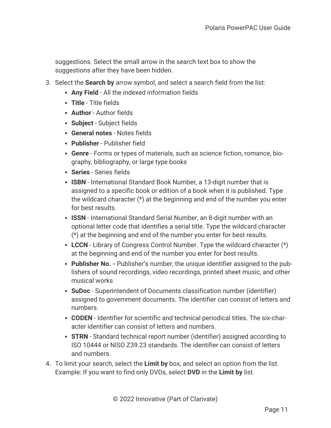suggestions. Select the small arrow in the search text box to show the suggestions after they have been hidden.

- 3. Select the **Search by** arrow symbol, and select a search field from the list:
	- **Any Field** All the indexed information fields
	- **Title** Title fields
	- **Author** Author fields
	- **Subject** Subject fields
	- **General notes** Notes fields
	- **Publisher** Publisher field
	- **Genre** Forms or types of materials, such as science fiction, romance, biography, bibliography, or large type books
	- **Series** Series fields
	- **ISBN** International Standard Book Number, a 13-digit number that is assigned to a specific book or edition of a book when it is published. Type the wildcard character (\*) at the beginning and end of the number you enter for best results.
	- **ISSN** International Standard Serial Number, an 8-digit number with an optional letter code that identifies a serial title. Type the wildcard character (\*) at the beginning and end of the number you enter for best results.
	- LCCN Library of Congress Control Number. Type the wildcard character (\*) at the beginning and end of the number you enter for best results.
	- **Publisher No.** Publisher's number, the unique identifier assigned to the publishers of sound recordings, video recordings, printed sheet music, and other musical works
	- **SuDoc** Superintendent of Documents classification number (identifier) assigned to government documents. The identifier can consist of letters and numbers.
	- **CODEN** Identifier for scientific and technical periodical titles. The six-character identifier can consist of letters and numbers.
	- **STRN** Standard technical report number (identifier) assigned according to ISO 10444 or NISO Z39.23 standards. The identifier can consist of letters and numbers.
- 4. To limit your search, select the **Limit by** box, and select an option from the list. Example: If you want to find only DVDs, select **DVD** in the **Limit by** list.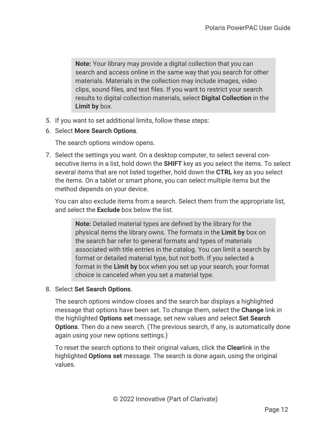**Note:** Your library may provide a digital collection that you can search and access online in the same way that you search for other materials. Materials in the collection may include images, video clips, sound files, and text files. If you want to restrict your search results to digital collection materials, select **Digital Collection** in the **Limit by** box.

- 5. If you want to set additional limits, follow these steps:
- 6. Select **More Search Options**.

The search options window opens.

7. Select the settings you want. On a desktop computer, to select several consecutive items in a list, hold down the **SHIFT** key as you select the items. To select several items that are not listed together, hold down the **CTRL** key as you select the items. On a tablet or smart phone, you can select multiple items but the method depends on your device.

You can also exclude items from a search. Select them from the appropriate list, and select the **Exclude** box below the list.

**Note:** Detailed material types are defined by the library for the physical items the library owns. The formats in the **Limit by** box on the search bar refer to general formats and types of materials associated with title entries in the catalog. You can limit a search by format or detailed material type, but not both. If you selected a format in the **Limit by** box when you set up your search, your format choice is canceled when you set a material type.

8. Select **Set Search Options**.

The search options window closes and the search bar displays a highlighted message that options have been set. To change them, select the **Change** link in the highlighted **Options set** message, set new values and select **Set Search Options**. Then do a new search. (The previous search, if any, is automatically done again using your new options settings.)

To reset the search options to their original values, click the **Clear**link in the highlighted **Options set** message. The search is done again, using the original values.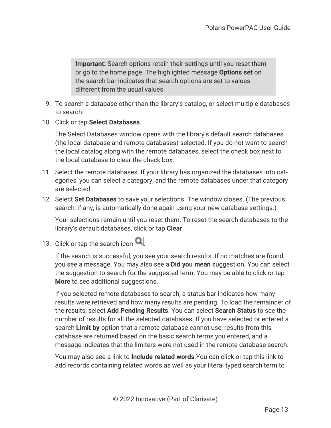**Important:** Search options retain their settings until you reset them or go to the home page. The highlighted message **Options set** on the search bar indicates that search options are set to values different from the usual values.

- 9. To search a database other than the library's catalog, or select multiple databases to search:
- 10. Click or tap **Select Databases**.

The Select Databases window opens with the library's default search databases (the local database and remote databases) selected. If you do not want to search the local catalog along with the remote databases, select the check box next to the local database to clear the check box.

- 11. Select the remote databases. If your library has organized the databases into categories, you can select a category, and the remote databases under that category are selected.
- 12. Select **Set Databases** to save your selections. The window closes. (The previous search, if any, is automatically done again using your new database settings.)

Your selections remain until you reset them. To reset the search databases to the library's default databases, click or tap **Clear**.

13. Click or tap the search icon  $Q$ .

If the search is successful, you see your search results. If no matches are found, you see a message. You may also see a **Did you mean** suggestion. You can select the suggestion to search for the suggested term. You may be able to click or tap **More** to see additional suggestions.

If you selected remote databases to search, a status bar indicates how many results were retrieved and how many results are pending. To load the remainder of the results, select **Add Pending Results**. You can select **Search Status** to see the number of results for all the selected databases. If you have selected or entered a search **Limit by** option that a remote database cannot use, results from this database are returned based on the basic search terms you entered, and a message indicates that the limiters were not used in the remote database search.

You may also see a link to **Include related words**.You can click or tap this link to add records containing related words as well as your literal typed search term to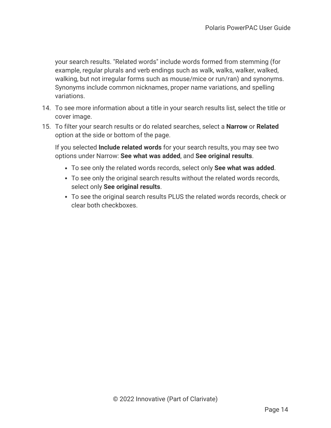your search results. "Related words" include words formed from stemming (for example, regular plurals and verb endings such as walk, walks, walker, walked, walking, but not irregular forms such as mouse/mice or run/ran) and synonyms. Synonyms include common nicknames, proper name variations, and spelling variations.

- 14. To see more information about a title in your search results list, select the title or cover image.
- 15. To filter your search results or do related searches, select a **Narrow** or **Related** option at the side or bottom of the page.

If you selected **Include related words** for your search results, you may see two options under Narrow: **See what was added**, and **See original results**.

- <sup>l</sup> To see only the related words records, select only **See what was added**.
- To see only the original search results without the related words records, select only **See original results**.
- To see the original search results PLUS the related words records, check or clear both checkboxes.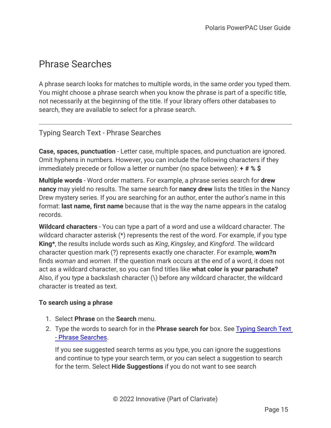# <span id="page-19-0"></span>Phrase Searches

A phrase search looks for matches to multiple words, in the same order you typed them. You might choose a phrase search when you know the phrase is part of a specific title, not necessarily at the beginning of the title. If your library offers other databases to search, they are available to select for a phrase search.

# <span id="page-19-1"></span>Typing Search Text - Phrase Searches

**Case, spaces, punctuation** - Letter case, multiple spaces, and punctuation are ignored. Omit hyphens in numbers. However, you can include the following characters if they immediately precede or follow a letter or number (no space between): **+ # % \$**

**Multiple words** - Word order matters. For example, a phrase series search for **drew nancy** may yield no results. The same search for **nancy drew** lists the titles in the Nancy Drew mystery series. If you are searching for an author, enter the author's name in this format: **last name, first name** because that is the way the name appears in the catalog records.

**Wildcard characters** - You can type a part of a word and use a wildcard character. The wildcard character asterisk (\*) represents the rest of the word. For example, if you type **King\***, the results include words such as *King*, *Kingsley*, and *Kingford*. The wildcard character question mark (?) represents exactly one character. For example, **wom?n** finds *woman* and *women*. If the question mark occurs at the end of a word, it does not act as a wildcard character, so you can find titles like **what color is your parachute?** Also, if you type a backslash character (\) before any wildcard character, the wildcard character is treated as text.

## **To search using a phrase**

- 1. Select **Phrase** on the **Search** menu.
- 2. Type the words to search for in the **Phrase search for** box. See Typing [Search](#page-19-1) Text - Phrase [Searches.](#page-19-1)

If you see suggested search terms as you type, you can ignore the suggestions and continue to type your search term, or you can select a suggestion to search for the term. Select **Hide Suggestions** if you do not want to see search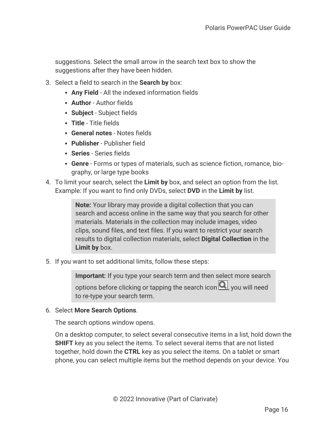suggestions. Select the small arrow in the search text box to show the suggestions after they have been hidden.

- 3. Select a field to search in the **Search by** box:
	- **Any Field** All the indexed information fields
	- **Author** Author fields
	- **Subject** Subject fields
	- **Title** Title fields
	- **General notes** Notes fields
	- **Publisher** Publisher field
	- **Series** Series fields
	- **Genre** Forms or types of materials, such as science fiction, romance, biography, or large type books
- 4. To limit your search, select the **Limit by** box, and select an option from the list. Example: If you want to find only DVDs, select **DVD** in the **Limit by** list.

**Note:** Your library may provide a digital collection that you can search and access online in the same way that you search for other materials. Materials in the collection may include images, video clips, sound files, and text files. If you want to restrict your search results to digital collection materials, select **Digital Collection** in the **Limit by** box.

5. If you want to set additional limits, follow these steps:

**Important:** If you type your search term and then select more search options before clicking or tapping the search icon  $\mathbf{Q}$ , you will need to re-type your search term.

#### 6. Select **More Search Options**.

The search options window opens.

On a desktop computer, to select several consecutive items in a list, hold down the **SHIFT** key as you select the items. To select several items that are not listed together, hold down the **CTRL** key as you select the items. On a tablet or smart phone, you can select multiple items but the method depends on your device. You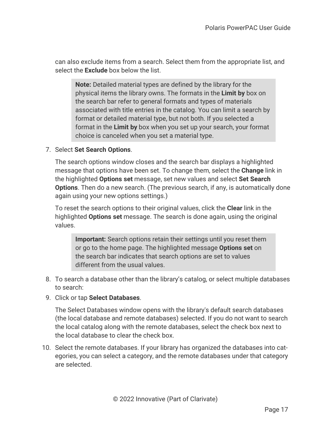can also exclude items from a search. Select them from the appropriate list, and select the **Exclude** box below the list.

**Note:** Detailed material types are defined by the library for the physical items the library owns. The formats in the **Limit by** box on the search bar refer to general formats and types of materials associated with title entries in the catalog. You can limit a search by format or detailed material type, but not both. If you selected a format in the **Limit by** box when you set up your search, your format choice is canceled when you set a material type.

## 7. Select **Set Search Options**.

The search options window closes and the search bar displays a highlighted message that options have been set. To change them, select the **Change** link in the highlighted **Options set** message, set new values and select **Set Search Options**. Then do a new search. (The previous search, if any, is automatically done again using your new options settings.)

To reset the search options to their original values, click the **Clear** link in the highlighted **Options set** message. The search is done again, using the original values.

**Important:** Search options retain their settings until you reset them or go to the home page. The highlighted message **Options set** on the search bar indicates that search options are set to values different from the usual values.

- 8. To search a database other than the library's catalog, or select multiple databases to search:
- 9. Click or tap **Select Databases**.

The Select Databases window opens with the library's default search databases (the local database and remote databases) selected. If you do not want to search the local catalog along with the remote databases, select the check box next to the local database to clear the check box.

10. Select the remote databases. If your library has organized the databases into categories, you can select a category, and the remote databases under that category are selected.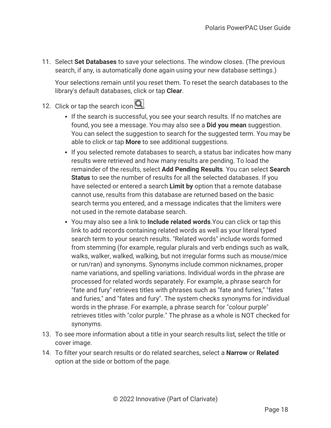11. Select **Set Databases** to save your selections. The window closes. (The previous search, if any, is automatically done again using your new database settings.)

Your selections remain until you reset them. To reset the search databases to the library's default databases, click or tap **Clear**.

# 12. Click or tap the search icon  $\boxed{\mathbf{Q}}$

- If the search is successful, you see your search results. If no matches are found, you see a message. You may also see a **Did you mean** suggestion. You can select the suggestion to search for the suggested term. You may be able to click or tap **More** to see additional suggestions.
- If you selected remote databases to search, a status bar indicates how many results were retrieved and how many results are pending. To load the remainder of the results, select **Add Pending Results**. You can select **Search Status** to see the number of results for all the selected databases. If you have selected or entered a search **Limit by** option that a remote database cannot use, results from this database are returned based on the basic search terms you entered, and a message indicates that the limiters were not used in the remote database search.
- <sup>l</sup> You may also see a link to **Include related words**.You can click or tap this link to add records containing related words as well as your literal typed search term to your search results. "Related words" include words formed from stemming (for example, regular plurals and verb endings such as walk, walks, walker, walked, walking, but not irregular forms such as mouse/mice or run/ran) and synonyms. Synonyms include common nicknames, proper name variations, and spelling variations. Individual words in the phrase are processed for related words separately. For example, a phrase search for "fate and fury" retrieves titles with phrases such as "fate and furies," "fates and furies," and "fates and fury". The system checks synonyms for individual words in the phrase. For example, a phrase search for "colour purple" retrieves titles with "color purple." The phrase as a whole is NOT checked for synonyms.
- 13. To see more information about a title in your search results list, select the title or cover image.
- 14. To filter your search results or do related searches, select a **Narrow** or **Related** option at the side or bottom of the page.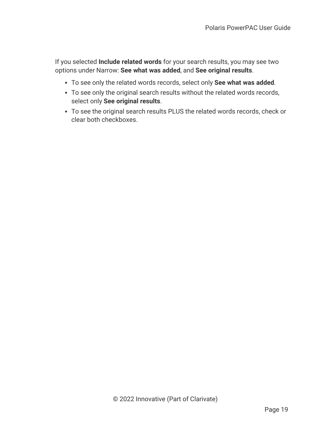If you selected **Include related words** for your search results, you may see two options under Narrow: **See what was added**, and **See original results**.

- <sup>l</sup> To see only the related words records, select only **See what was added**.
- To see only the original search results without the related words records, select only **See original results**.
- To see the original search results PLUS the related words records, check or clear both checkboxes.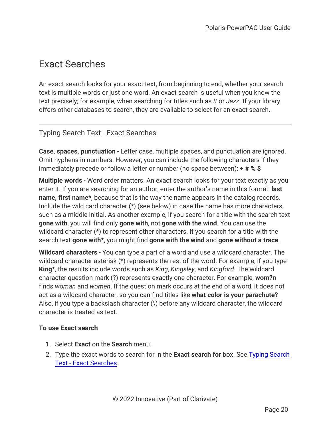# <span id="page-24-0"></span>Exact Searches

An exact search looks for your exact text, from beginning to end, whether your search text is multiple words or just one word. An exact search is useful when you know the text precisely; for example, when searching for titles such as *It* or *Jazz*. If your library offers other databases to search, they are available to select for an exact search.

# <span id="page-24-1"></span>Typing Search Text - Exact Searches

**Case, spaces, punctuation** - Letter case, multiple spaces, and punctuation are ignored. Omit hyphens in numbers. However, you can include the following characters if they immediately precede or follow a letter or number (no space between): **+ # % \$**

**Multiple words** - Word order matters. An exact search looks for your text exactly as you enter it. If you are searching for an author, enter the author's name in this format: **last name, first name\***, because that is the way the name appears in the catalog records. Include the wild card character (\*) (see below) in case the name has more characters, such as a middle initial. As another example, if you search for a title with the search text **gone with**, you will find only **gone with**, not **gone with the wind**. You can use the wildcard character (\*) to represent other characters. If you search for a title with the search text **gone with\***, you might find **gone with the wind** and **gone without a trace**.

**Wildcard characters** - You can type a part of a word and use a wildcard character. The wildcard character asterisk (\*) represents the rest of the word. For example, if you type **King\***, the results include words such as *King*, *Kingsley*, and *Kingford*. The wildcard character question mark (?) represents exactly one character. For example, **wom?n** finds *woman* and *women*. If the question mark occurs at the end of a word, it does not act as a wildcard character, so you can find titles like **what color is your parachute?** Also, if you type a backslash character (\) before any wildcard character, the wildcard character is treated as text.

## **To use Exact search**

- 1. Select **Exact** on the **Search** menu.
- 2. Type the exact words to search for in the **Exact search for** box. See Typing [Search](#page-24-1) Text - Exact [Searches](#page-24-1).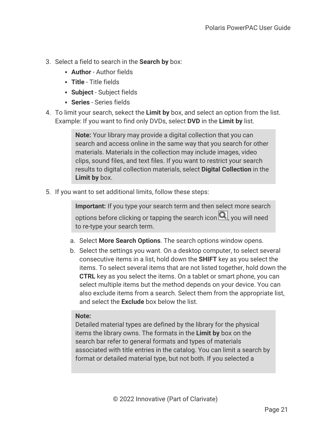- 3. Select a field to search in the **Search by** box:
	- **Author** Author fields
	- **Title** Title fields
	- **Subject** Subject fields
	- **Series** Series fields
- 4. To limit your search, sekect the **Limit by** box, and select an option from the list. Example: If you want to find only DVDs, select **DVD** in the **Limit by** list.

**Note:** Your library may provide a digital collection that you can search and access online in the same way that you search for other materials. Materials in the collection may include images, video clips, sound files, and text files. If you want to restrict your search results to digital collection materials, select **Digital Collection** in the **Limit by** box.

5. If you want to set additional limits, follow these steps:

**Important:** If you type your search term and then select more search options before clicking or tapping the search icon  $\mathbf{Q}$ , you will need to re-type your search term.

- a. Select **More Search Options**. The search options window opens.
- b. Select the settings you want. On a desktop computer, to select several consecutive items in a list, hold down the **SHIFT** key as you select the items. To select several items that are not listed together, hold down the **CTRL** key as you select the items. On a tablet or smart phone, you can select multiple items but the method depends on your device. You can also exclude items from a search. Select them from the appropriate list, and select the **Exclude** box below the list.

## **Note:**

Detailed material types are defined by the library for the physical items the library owns. The formats in the **Limit by** box on the search bar refer to general formats and types of materials associated with title entries in the catalog. You can limit a search by format or detailed material type, but not both. If you selected a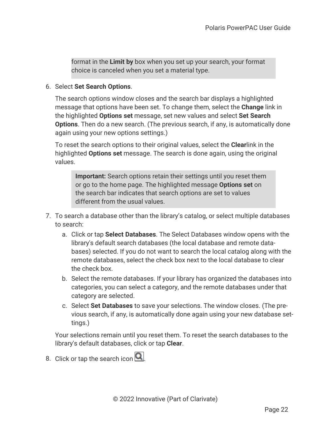format in the **Limit by** box when you set up your search, your format choice is canceled when you set a material type.

6. Select **Set Search Options**.

The search options window closes and the search bar displays a highlighted message that options have been set. To change them, select the **Change** link in the highlighted **Options set** message, set new values and select **Set Search Options**. Then do a new search. (The previous search, if any, is automatically done again using your new options settings.)

To reset the search options to their original values, select the **Clear**link in the highlighted **Options set** message. The search is done again, using the original values.

**Important:** Search options retain their settings until you reset them or go to the home page. The highlighted message **Options set** on the search bar indicates that search options are set to values different from the usual values.

- 7. To search a database other than the library's catalog, or select multiple databases to search:
	- a. Click or tap **Select Databases**. The Select Databases window opens with the library's default search databases (the local database and remote databases) selected. If you do not want to search the local catalog along with the remote databases, select the check box next to the local database to clear the check box.
	- b. Select the remote databases. If your library has organized the databases into categories, you can select a category, and the remote databases under that category are selected.
	- c. Select **Set Databases** to save your selections. The window closes. (The previous search, if any, is automatically done again using your new database settings.)

Your selections remain until you reset them. To reset the search databases to the library's default databases, click or tap **Clear**.

8. Click or tap the search icon  $Q$ .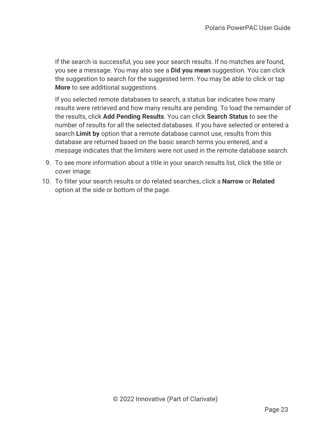If the search is successful, you see your search results. If no matches are found, you see a message. You may also see a **Did you mean** suggestion. You can click the suggestion to search for the suggested term. You may be able to click or tap **More** to see additional suggestions.

If you selected remote databases to search, a status bar indicates how many results were retrieved and how many results are pending. To load the remainder of the results, click **Add Pending Results**. You can click **Search Status** to see the number of results for all the selected databases. If you have selected or entered a search **Limit by** option that a remote database cannot use, results from this database are returned based on the basic search terms you entered, and a message indicates that the limiters were not used in the remote database search.

- 9. To see more information about a title in your search results list, click the title or cover image.
- 10. To filter your search results or do related searches, click a **Narrow** or **Related** option at the side or bottom of the page.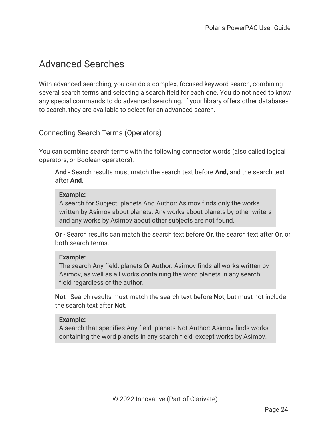# <span id="page-28-0"></span>Advanced Searches

With advanced searching, you can do a complex, focused keyword search, combining several search terms and selecting a search field for each one. You do not need to know any special commands to do advanced searching. If your library offers other databases to search, they are available to select for an advanced search.

# <span id="page-28-1"></span>Connecting Search Terms (Operators)

You can combine search terms with the following connector words (also called logical operators, or Boolean operators):

**And** - Search results must match the search text before **And,** and the search text after **And**.

#### **Example:**

A search for Subject: planets And Author: Asimov finds only the works written by Asimov about planets. Any works about planets by other writers and any works by Asimov about other subjects are not found.

**Or** - Search results can match the search text before **Or**, the search text after **Or**, or both search terms.

## **Example:**

The search Any field: planets Or Author: Asimov finds all works written by Asimov, as well as all works containing the word planets in any search field regardless of the author.

**Not** - Search results must match the search text before **Not**, but must not include the search text after **Not**.

#### **Example:**

A search that specifies Any field: planets Not Author: Asimov finds works containing the word planets in any search field, except works by Asimov.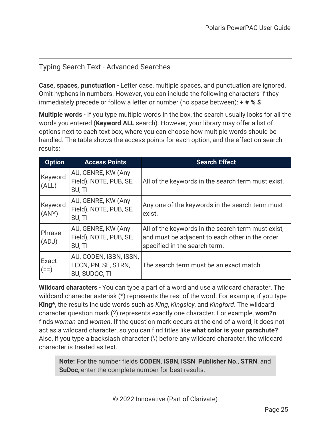# <span id="page-29-0"></span>Typing Search Text - Advanced Searches

**Case, spaces, punctuation** - Letter case, multiple spaces, and punctuation are ignored. Omit hyphens in numbers. However, you can include the following characters if they immediately precede or follow a letter or number (no space between): **+ # % \$**

**Multiple words** - If you type multiple words in the box, the search usually looks for all the words you entered (**Keyword ALL** search). However, your library may offer a list of options next to each text box, where you can choose how multiple words should be handled. The table shows the access points for each option, and the effect on search results:

| <b>Option</b>    | <b>Access Points</b>                                           | <b>Search Effect</b>                                                                                                                   |
|------------------|----------------------------------------------------------------|----------------------------------------------------------------------------------------------------------------------------------------|
| Keyword<br>(ALL) | AU, GENRE, KW (Any<br>Field), NOTE, PUB, SE,<br>SU, TI         | All of the keywords in the search term must exist.                                                                                     |
| Keyword<br>(ANY) | AU, GENRE, KW (Any<br>Field), NOTE, PUB, SE,<br>SU, TI         | Any one of the keywords in the search term must<br>exist.                                                                              |
| Phrase<br>(ADJ)  | AU, GENRE, KW (Any<br>Field), NOTE, PUB, SE,<br>SU, TI         | All of the keywords in the search term must exist,<br>and must be adjacent to each other in the order<br>specified in the search term. |
| Exact<br>$(==)$  | AU, CODEN, ISBN, ISSN,<br>LCCN, PN, SE, STRN,<br>SU, SUDOC, TI | The search term must be an exact match.                                                                                                |

**Wildcard characters** - You can type a part of a word and use a wildcard character. The wildcard character asterisk (\*) represents the rest of the word. For example, if you type **King\***, the results include words such as *King*, *Kingsley*, and *Kingford*. The wildcard character question mark (?) represents exactly one character. For example, **wom?n** finds *woman* and *women*. If the question mark occurs at the end of a word, it does not act as a wildcard character, so you can find titles like **what color is your parachute?** Also, if you type a backslash character (\) before any wildcard character, the wildcard character is treated as text.

**Note:** For the number fields **CODEN**, **ISBN**, **ISSN**, **Publisher No.**, **STRN**, and **SuDoc**, enter the complete number for best results.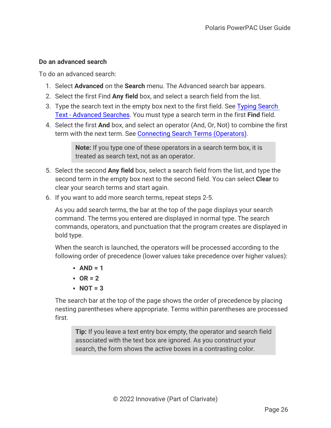## **Do an advanced search**

To do an advanced search:

- 1. Select **Advanced** on the **Search** menu. The Advanced search bar appears.
- 2. Select the first Find **Any field** box, and select a search field from the list.
- 3. Type the search text in the empty box next to the first field. See Typing [Search](#page-29-0) Text - [Advanced](#page-29-0) Searches. You must type a search term in the first **Find** field.
- 4. Select the first **And** box, and select an operator (And, Or, Not) to combine the first term with the next term. See Connecting Search Terms [\(Operators\)](#page-28-1).

**Note:** If you type one of these operators in a search term box, it is treated as search text, not as an operator.

- 5. Select the second **Any field** box, select a search field from the list, and type the second term in the empty box next to the second field. You can select **Clear** to clear your search terms and start again.
- 6. If you want to add more search terms, repeat steps 2-5.

As you add search terms, the bar at the top of the page displays your search command. The terms you entered are displayed in normal type. The search commands, operators, and punctuation that the program creates are displayed in bold type.

When the search is launched, the operators will be processed according to the following order of precedence (lower values take precedence over higher values):

- $\cdot$  AND = 1
- $\cdot$  OR = 2
- $\cdot$  **NOT** = 3

The search bar at the top of the page shows the order of precedence by placing nesting parentheses where appropriate. Terms within parentheses are processed first.

**Tip:** If you leave a text entry box empty, the operator and search field associated with the text box are ignored. As you construct your search, the form shows the active boxes in a contrasting color.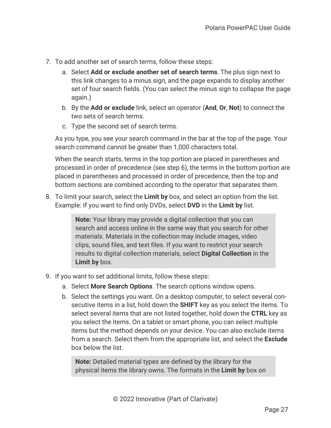- 7. To add another set of search terms, follow these steps:
	- a. Select **Add or exclude another set of search terms**. The plus sign next to this link changes to a minus sign, and the page expands to display another set of four search fields. (You can select the minus sign to collapse the page again.)
	- b. By the **Add or exclude** link, select an operator (**And**, **Or**, **Not**) to connect the two sets of search terms.
	- c. Type the second set of search terms.

As you type, you see your search command in the bar at the top of the page. Your search command cannot be greater than 1,000 characters total.

When the search starts, terms in the top portion are placed in parentheses and processed in order of precedence (see step 6), the terms in the bottom portion are placed in parentheses and processed in order of precedence, then the top and bottom sections are combined according to the operator that separates them.

8. To limit your search, select the **Limit by** box, and select an option from the list. Example: If you want to find only DVDs, select **DVD** in the **Limit by** list.

> **Note:** Your library may provide a digital collection that you can search and access online in the same way that you search for other materials. Materials in the collection may include images, video clips, sound files, and text files. If you want to restrict your search results to digital collection materials, select **Digital Collection** in the **Limit by** box.

- 9. If you want to set additional limits, follow these steps:
	- a. Select **More Search Options**. The search options window opens.
	- b. Select the settings you want. On a desktop computer, to select several consecutive items in a list, hold down the **SHIFT** key as you select the items. To select several items that are not listed together, hold down the **CTRL** key as you select the items. On a tablet or smart phone, you can select multiple items but the method depends on your device. You can also exclude items from a search. Select them from the appropriate list, and select the **Exclude** box below the list.

**Note:** Detailed material types are defined by the library for the physical items the library owns. The formats in the **Limit by** box on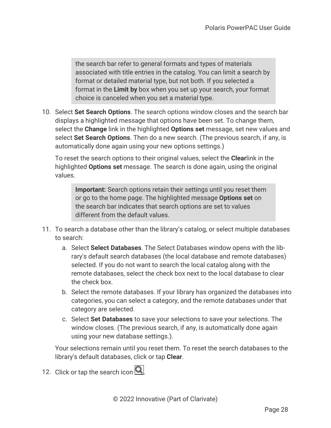the search bar refer to general formats and types of materials associated with title entries in the catalog. You can limit a search by format or detailed material type, but not both. If you selected a format in the **Limit by** box when you set up your search, your format choice is canceled when you set a material type.

10. Select **Set Search Options**. The search options window closes and the search bar displays a highlighted message that options have been set. To change them, select the **Change** link in the highlighted **Options set** message, set new values and select **Set Search Options**. Then do a new search. (The previous search, if any, is automatically done again using your new options settings.)

To reset the search options to their original values, select the **Clear**link in the highlighted **Options set** message. The search is done again, using the original values.

**Important:** Search options retain their settings until you reset them or go to the home page. The highlighted message **Options set** on the search bar indicates that search options are set to values different from the default values.

- 11. To search a database other than the library's catalog, or select multiple databases to search:
	- a. Select **Select Databases**. The Select Databases window opens with the library's default search databases (the local database and remote databases) selected. If you do not want to search the local catalog along with the remote databases, select the check box next to the local database to clear the check box.
	- b. Select the remote databases. If your library has organized the databases into categories, you can select a category, and the remote databases under that category are selected.
	- c. Select **Set Databases** to save your selections to save your selections. The window closes. (The previous search, if any, is automatically done again using your new database settings.).

Your selections remain until you reset them. To reset the search databases to the library's default databases, click or tap **Clear**.

12. Click or tap the search icon  $\Box$ .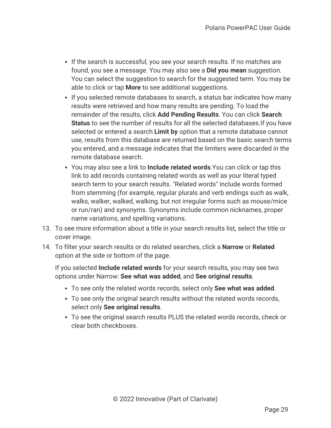- If the search is successful, you see your search results. If no matches are found, you see a message. You may also see a **Did you mean** suggestion. You can select the suggestion to search for the suggested term. You may be able to click or tap **More** to see additional suggestions.
- If you selected remote databases to search, a status bar indicates how many results were retrieved and how many results are pending. To load the remainder of the results, click **Add Pending Results**. You can click **Search Status** to see the number of results for all the selected databases.If you have selected or entered a search **Limit by** option that a remote database cannot use, results from this database are returned based on the basic search terms you entered, and a message indicates that the limiters were discarded in the remote database search.
- <sup>l</sup> You may also see a link to **Include related words**.You can click or tap this link to add records containing related words as well as your literal typed search term to your search results. "Related words" include words formed from stemming (for example, regular plurals and verb endings such as walk, walks, walker, walked, walking, but not irregular forms such as mouse/mice or run/ran) and synonyms. Synonyms include common nicknames, proper name variations, and spelling variations.
- 13. To see more information about a title in your search results list, select the title or cover image.
- 14. To filter your search results or do related searches, click a **Narrow** or **Related** option at the side or bottom of the page.

If you selected **Include related words** for your search results, you may see two options under Narrow: **See what was added**, and **See original results**.

- <sup>l</sup> To see only the related words records, select only **See what was added**.
- To see only the original search results without the related words records, select only **See original results**.
- To see the original search results PLUS the related words records, check or clear both checkboxes.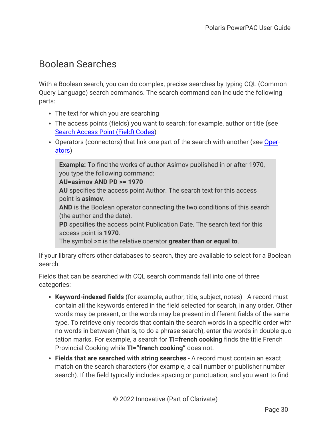# <span id="page-34-0"></span>Boolean Searches

With a Boolean search, you can do complex, precise searches by typing CQL (Common Query Language) search commands. The search command can include the following parts:

- The text for which you are searching
- The access points (fields) you want to search; for example, author or title (see Search [Access](#page-39-0) Point (Field) Codes)
- Operators (connectors) that link one part of the search with another (see [Oper](#page-35-0)[ators\)](#page-35-0)

**Example:** To find the works of author Asimov published in or after 1970, you type the following command:

#### **AU=asimov AND PD >= 1970**

**AU** specifies the access point Author. The search text for this access point is **asimov**.

**AND** is the Boolean operator connecting the two conditions of this search (the author and the date).

**PD** specifies the access point Publication Date. The search text for this access point is **1970**.

The symbol **>=** is the relative operator **greater than or equal to**.

If your library offers other databases to search, they are available to select for a Boolean search.

Fields that can be searched with CQL search commands fall into one of three categories:

- **Keyword-indexed fields** (for example, author, title, subject, notes) A record must contain all the keywords entered in the field selected for search, in any order. Other words may be present, or the words may be present in different fields of the same type. To retrieve only records that contain the search words in a specific order with no words in between (that is, to do a phrase search), enter the words in double quotation marks. For example, a search for **TI=french cooking** finds the title French Provincial Cooking while **TI="french cooking"** does not.
- <sup>l</sup> **Fields that are searched with string searches** A record must contain an exact match on the search characters (for example, a call number or publisher number search). If the field typically includes spacing or punctuation, and you want to find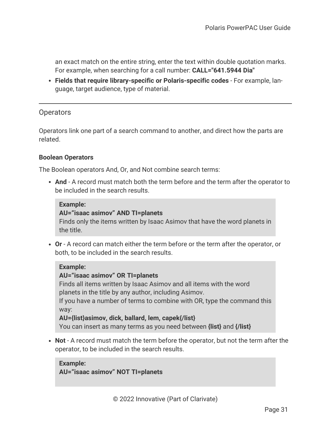an exact match on the entire string, enter the text within double quotation marks. For example, when searching for a call number: **CALL="641.5944 Dia"**

<span id="page-35-0"></span><sup>l</sup> **Fields that require library-specific or Polaris-specific codes** - For example, language, target audience, type of material.

## **Operators**

Operators link one part of a search command to another, and direct how the parts are related.

#### **Boolean Operators**

The Boolean operators And, Or, and Not combine search terms:

**And** - A record must match both the term before and the term after the operator to be included in the search results.

#### **Example:**

#### **AU="isaac asimov" AND TI=planets**

Finds only the items written by Isaac Asimov that have the word planets in the title.

**• Or** - A record can match either the term before or the term after the operator, or both, to be included in the search results.

#### **Example:**

#### **AU="isaac asimov" OR TI=planets**

Finds all items written by Isaac Asimov and all items with the word planets in the title by any author, including Asimov.

If you have a number of terms to combine with OR, type the command this way:

**AU={list}asimov, dick, ballard, lem, capek{/list}**

You can insert as many terms as you need between **{list}** and **{/list}**

• **Not** - A record must match the term before the operator, but not the term after the operator, to be included in the search results.

#### **Example: AU="isaac asimov" NOT TI=planets**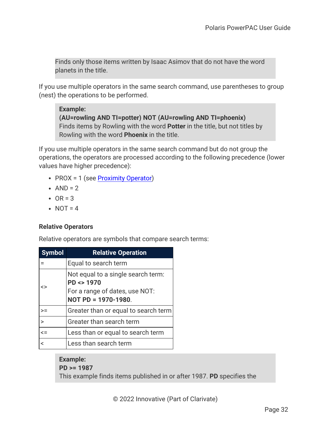Finds only those items written by Isaac Asimov that do not have the word planets in the title.

If you use multiple operators in the same search command, use parentheses to group (nest) the operations to be performed.

### **Example:**

**(AU=rowling AND TI=potter) NOT (AU=rowling AND TI=phoenix)** Finds items by Rowling with the word **Potter** in the title, but not titles by Rowling with the word **Phoenix** in the title.

If you use multiple operators in the same search command but do not group the operations, the operators are processed according to the following precedence (lower values have higher precedence):

- PROX = 1 (see [Proximity](#page-37-0) Operator)
- $\bullet$  AND = 2
- $\cdot$  OR = 3
- $\cdot$  NOT = 4

## **Relative Operators**

Relative operators are symbols that compare search terms:

| <b>Symbol</b>  | <b>Relative Operation</b>                                                                                                |
|----------------|--------------------------------------------------------------------------------------------------------------------------|
|                | Equal to search term                                                                                                     |
| <>             | Not equal to a single search term:<br>$PD \Leftrightarrow 1970$<br>For a range of dates, use NOT:<br>NOT PD = 1970-1980. |
| >=             | Greater than or equal to search term                                                                                     |
|                | Greater than search term                                                                                                 |
| $\leq$         | Less than or equal to search term                                                                                        |
| $\overline{a}$ | Less than search term                                                                                                    |

## **Example: PD >= 1987** This example finds items published in or after 1987. **PD** specifies the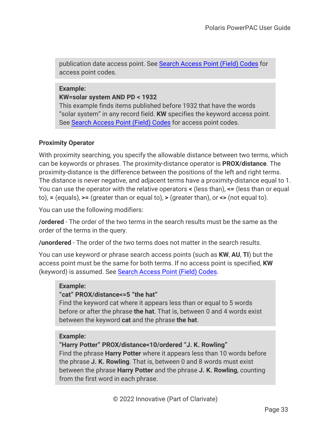publication date access point. See Search [Access](#page-39-0) Point (Field) Codes for access point codes.

#### **Example:**

#### **KW=solar system AND PD < 1932**

This example finds items published before 1932 that have the words "solar system" in any record field. **KW** specifies the keyword access point. See Search [Access](#page-39-0) Point (Field) Codes for access point codes.

### <span id="page-37-0"></span>**Proximity Operator**

With proximity searching, you specify the allowable distance between two terms, which can be keywords or phrases. The proximity-distance operator is **PROX/distance**. The proximity-distance is the difference between the positions of the left and right terms. The distance is never negative, and adjacent terms have a proximity-distance equal to 1. You can use the operator with the relative operators **<** (less than), **<=** (less than or equal to), **=** (equals), **>=** (greater than or equal to), **>** (greater than), or **<>** (not equal to).

You can use the following modifiers:

**/ordered** - The order of the two terms in the search results must be the same as the order of the terms in the query.

**/unordered** - The order of the two terms does not matter in the search results.

You can use keyword or phrase search access points (such as **KW**, **AU**, **TI**) but the access point must be the same for both terms. If no access point is specified, **KW** (keyword) is assumed. See Search [Access](#page-39-0) Point (Field) Codes.

### **Example:**

### **"cat" PROX/distance<=5 "the hat"**

Find the keyword cat where it appears less than or equal to 5 words before or after the phrase **the hat**. That is, between 0 and 4 words exist between the keyword **cat** and the phrase **the hat**.

### **Example:**

### **"Harry Potter" PROX/distance<10/ordered "J. K. Rowling"**

Find the phrase **Harry Potter** where it appears less than 10 words before the phrase **J. K. Rowling**. That is, between 0 and 8 words must exist between the phrase **Harry Potter** and the phrase **J. K. Rowling**, counting from the first word in each phrase.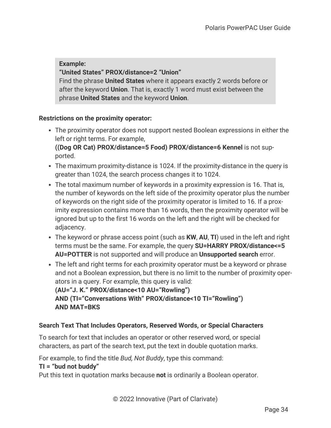## **Example:**

### **"United States" PROX/distance=2 "Union"**

Find the phrase **United States** where it appears exactly 2 words before or after the keyword **Union**. That is, exactly 1 word must exist between the phrase **United States** and the keyword **Union**.

### **Restrictions on the proximity operator:**

• The proximity operator does not support nested Boolean expressions in either the left or right terms. For example, **((Dog OR Cat) PROX/distance=5 Food) PROX/distance=6 Kennel** is not sup-

ported.

- The maximum proximity-distance is 1024. If the proximity-distance in the query is greater than 1024, the search process changes it to 1024.
- The total maximum number of keywords in a proximity expression is 16. That is, the number of keywords on the left side of the proximity operator plus the number of keywords on the right side of the proximity operator is limited to 16. If a proximity expression contains more than 16 words, then the proximity operator will be ignored but up to the first 16 words on the left and the right will be checked for adjacency.
- The keyword or phrase access point (such as **KW, AU, TI**) used in the left and right terms must be the same. For example, the query **SU=HARRY PROX/distance<=5 AU=POTTER** is not supported and will produce an **Unsupported search** error.
- The left and right terms for each proximity operator must be a keyword or phrase and not a Boolean expression, but there is no limit to the number of proximity operators in a query. For example, this query is valid: **(AU="J. K." PROX/distance<10 AU="Rowling") AND (TI="Conversations With" PROX/distance<10 TI="Rowling") AND MAT=BKS**

## <span id="page-38-0"></span>**Search Text That Includes Operators, Reserved Words, or Special Characters**

To search for text that includes an operator or other reserved word, or special characters, as part of the search text, put the text in double quotation marks.

For example, to find the title *Bud, Not Buddy*, type this command:

## **TI = "bud not buddy"**

Put this text in quotation marks because **not** is ordinarily a Boolean operator.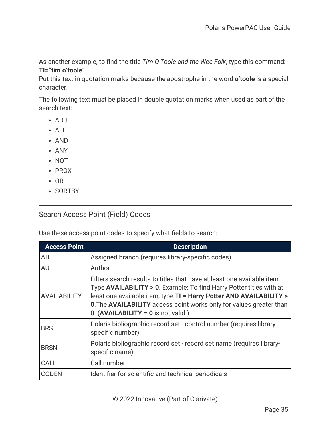As another example, to find the title *Tim O'Toole and the Wee Folk*, type this command: **TI="tim o'toole"**

Put this text in quotation marks because the apostrophe in the word **o'toole** is a special character.

The following text must be placed in double quotation marks when used as part of the search text:

- $\bullet$  ADJ
- $ALL$
- AND
- ANY
- NOT
- PROX
- $\cdot$  OR
- <span id="page-39-0"></span>• SORTBY

## Search Access Point (Field) Codes

Use these access point codes to specify what fields to search:

| <b>Access Point</b> | <b>Description</b>                                                                                                                                                                                                                                                                                                                                     |
|---------------------|--------------------------------------------------------------------------------------------------------------------------------------------------------------------------------------------------------------------------------------------------------------------------------------------------------------------------------------------------------|
| AB                  | Assigned branch (requires library-specific codes)                                                                                                                                                                                                                                                                                                      |
| <b>AU</b>           | Author                                                                                                                                                                                                                                                                                                                                                 |
| <b>AVAILABILITY</b> | Filters search results to titles that have at least one available item.<br>Type <b>AVAILABILITY &gt; 0.</b> Example: To find Harry Potter titles with at<br>least one available item, type TI = Harry Potter AND AVAILABILITY ><br><b>0. The AVAILABILITY</b> access point works only for values greater than<br>$0.$ (AVAILABILITY = 0 is not valid.) |
| <b>BRS</b>          | Polaris bibliographic record set - control number (requires library-<br>specific number)                                                                                                                                                                                                                                                               |
| <b>BRSN</b>         | Polaris bibliographic record set - record set name (requires library-<br>specific name)                                                                                                                                                                                                                                                                |
| CALL                | Call number                                                                                                                                                                                                                                                                                                                                            |
| <b>CODEN</b>        | Identifier for scientific and technical periodicals                                                                                                                                                                                                                                                                                                    |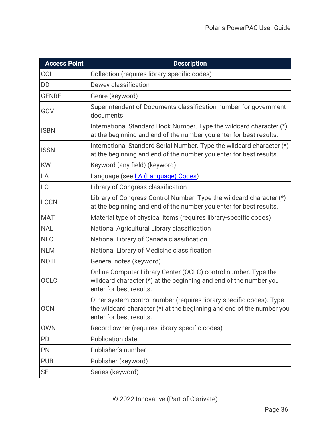| <b>Access Point</b> | <b>Description</b>                                                                                                                                                        |
|---------------------|---------------------------------------------------------------------------------------------------------------------------------------------------------------------------|
| COL                 | Collection (requires library-specific codes)                                                                                                                              |
| <b>DD</b>           | Dewey classification                                                                                                                                                      |
| <b>GENRE</b>        | Genre (keyword)                                                                                                                                                           |
| GOV                 | Superintendent of Documents classification number for government<br>documents                                                                                             |
| <b>ISBN</b>         | International Standard Book Number. Type the wildcard character (*)<br>at the beginning and end of the number you enter for best results.                                 |
| <b>ISSN</b>         | International Standard Serial Number. Type the wildcard character (*)<br>at the beginning and end of the number you enter for best results.                               |
| <b>KW</b>           | Keyword (any field) (keyword)                                                                                                                                             |
| LA                  | Language (see LA (Language) Codes)                                                                                                                                        |
| <b>LC</b>           | Library of Congress classification                                                                                                                                        |
| <b>LCCN</b>         | Library of Congress Control Number. Type the wildcard character (*)<br>at the beginning and end of the number you enter for best results.                                 |
| <b>MAT</b>          | Material type of physical items (requires library-specific codes)                                                                                                         |
| <b>NAL</b>          | National Agricultural Library classification                                                                                                                              |
| <b>NLC</b>          | National Library of Canada classification                                                                                                                                 |
| <b>NLM</b>          | National Library of Medicine classification                                                                                                                               |
| <b>NOTE</b>         | General notes (keyword)                                                                                                                                                   |
| <b>OCLC</b>         | Online Computer Library Center (OCLC) control number. Type the<br>wildcard character (*) at the beginning and end of the number you<br>enter for best results.            |
| <b>OCN</b>          | Other system control number (requires library-specific codes). Type<br>the wildcard character $(*)$ at the beginning and end of the number you<br>enter for best results. |
| <b>OWN</b>          | Record owner (requires library-specific codes)                                                                                                                            |
| PD                  | <b>Publication date</b>                                                                                                                                                   |
| PN                  | Publisher's number                                                                                                                                                        |
| <b>PUB</b>          | Publisher (keyword)                                                                                                                                                       |
| <b>SE</b>           | Series (keyword)                                                                                                                                                          |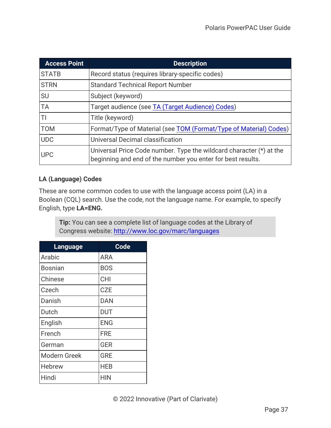| <b>Access Point</b> | <b>Description</b>                                                                                                                 |
|---------------------|------------------------------------------------------------------------------------------------------------------------------------|
| <b>STATB</b>        | Record status (requires library-specific codes)                                                                                    |
| <b>STRN</b>         | <b>Standard Technical Report Number</b>                                                                                            |
| <b>SU</b>           | Subject (keyword)                                                                                                                  |
| <b>TA</b>           | Target audience (see TA (Target Audience) Codes)                                                                                   |
| TI                  | Title (keyword)                                                                                                                    |
| <b>TOM</b>          | Format/Type of Material (see TOM (Format/Type of Material) Codes)                                                                  |
| <b>UDC</b>          | Universal Decimal classification                                                                                                   |
| <b>UPC</b>          | Universal Price Code number. Type the wildcard character (*) at the<br>beginning and end of the number you enter for best results. |

## <span id="page-41-0"></span>**LA (Language) Codes**

These are some common codes to use with the language access point (LA) in a Boolean (CQL) search. Use the code, not the language name. For example, to specify English, type **LA=ENG.**

**Tip:** You can see a complete list of language codes at the Library of Congress website: <http://www.loc.gov/marc/languages>

| Language      | <b>Code</b> |
|---------------|-------------|
| Arabic        | ARA         |
| Bosnian       | <b>BOS</b>  |
| Chinese       | <b>CHI</b>  |
| Czech         | <b>CZE</b>  |
| Danish        | <b>DAN</b>  |
| Dutch         | DUT         |
| English       | <b>ENG</b>  |
| French        | <b>FRE</b>  |
| German        | <b>GER</b>  |
| Modern Greek  | <b>GRE</b>  |
| <b>Hebrew</b> | HEB         |
| Hindi         | HIN         |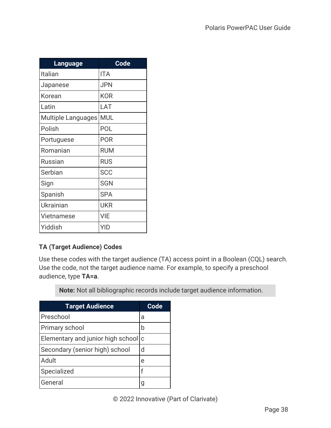| <b>Language</b>    | <b>Code</b> |
|--------------------|-------------|
| Italian            | <b>ITA</b>  |
| Japanese           | <b>JPN</b>  |
| Korean             | <b>KOR</b>  |
| Latin              | LAT         |
| Multiple Languages | <b>MUL</b>  |
| Polish             | POL         |
| Portuguese         | <b>POR</b>  |
| Romanian           | <b>RUM</b>  |
| <b>Russian</b>     | <b>RUS</b>  |
| Serbian            | <b>SCC</b>  |
| Sign               | <b>SGN</b>  |
| Spanish            | <b>SPA</b>  |
| <b>Ukrainian</b>   | UKR         |
| <b>Vietnamese</b>  | VIE         |
| Yiddish            | YID         |

## <span id="page-42-0"></span>**TA (Target Audience) Codes**

Use these codes with the target audience (TA) access point in a Boolean (CQL) search. Use the code, not the target audience name. For example, to specify a preschool audience, type **TA=a**.

**Note:** Not all bibliographic records include target audience information.

| <b>Target Audience</b>              | Code |
|-------------------------------------|------|
| Preschool                           | a    |
| Primary school                      | b    |
| Elementary and junior high school c |      |
| Secondary (senior high) school      | d    |
| Adult                               | e    |
| Specialized                         | f    |
| General                             |      |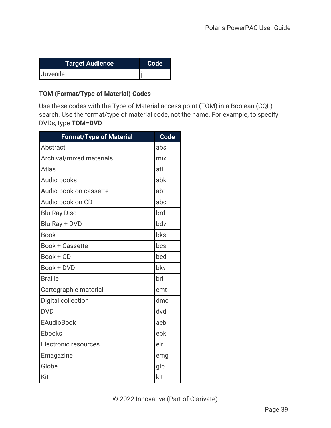| <b>Target Audience</b> | <b>Code</b> |
|------------------------|-------------|
| Juvenile               |             |

## <span id="page-43-0"></span>**TOM (Format/Type of Material) Codes**

Use these codes with the Type of Material access point (TOM) in a Boolean (CQL) search. Use the format/type of material code, not the name. For example, to specify DVDs, type **TOM=DVD**.

| <b>Format/Type of Material</b> | <b>Code</b> |
|--------------------------------|-------------|
| Abstract                       | abs         |
| Archival/mixed materials       | mix         |
| Atlas                          | atl         |
| <b>Audio books</b>             | abk         |
| Audio book on cassette         | abt         |
| Audio book on CD               | abc         |
| <b>Blu-Ray Disc</b>            | brd         |
| Blu-Ray + DVD                  | bdv         |
| <b>Book</b>                    | bks         |
| <b>Book + Cassette</b>         | bcs         |
| Book + CD                      | bcd         |
| Book + DVD                     | bky         |
| <b>Braille</b>                 | brl         |
| Cartographic material          | cmt         |
| Digital collection             | dmc         |
| <b>DVD</b>                     | dvd         |
| <b>EAudioBook</b>              | aeb         |
| Ebooks                         | ebk         |
| <b>Electronic resources</b>    | elr         |
| Emagazine                      | emg         |
| Globe                          | glb         |
| Kit                            | kit         |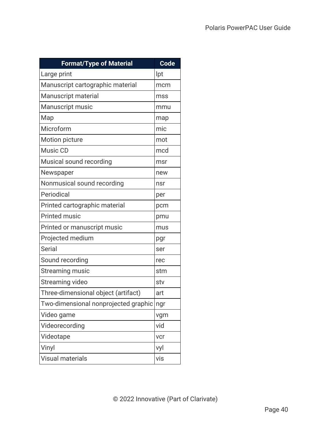| <b>Format/Type of Material</b>       | <b>Code</b> |
|--------------------------------------|-------------|
| Large print                          | lpt         |
| Manuscript cartographic material     | mcm         |
| Manuscript material                  | mss         |
| <b>Manuscript music</b>              | mmu         |
| Map                                  | map         |
| Microform                            | mic         |
| Motion picture                       | mot         |
| Music CD                             | mcd         |
| Musical sound recording              | msr         |
| Newspaper                            | new         |
| Nonmusical sound recording           | nsr         |
| Periodical                           | per         |
| Printed cartographic material        | pcm         |
| <b>Printed music</b>                 | pmu         |
| Printed or manuscript music          | mus         |
| Projected medium                     | pgr         |
| <b>Serial</b>                        | ser         |
| Sound recording                      | rec         |
| <b>Streaming music</b>               | stm         |
| Streaming video                      | stv         |
| Three-dimensional object (artifact)  | art         |
| Two-dimensional nonprojected graphic | ngr         |
| Video game                           | vgm         |
| Videorecording                       | vid         |
| Videotape                            | vcr         |
| Vinyl                                | vyl         |
| <b>Visual materials</b>              | vis         |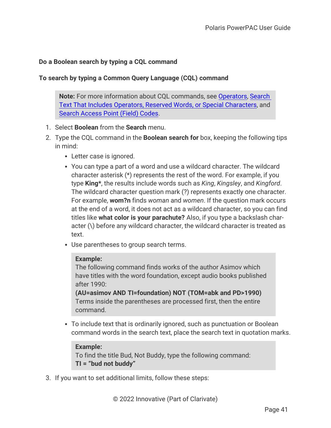### **Do a Boolean search by typing a CQL command**

### **To search by typing a Common Query Language (CQL) command**

**Note:** For more information about CQL commands, see [Operators](#page-35-0), [Search](#page-38-0) Text That Includes Operators, Reserved Words, or Special [Characters,](#page-38-0) and Search [Access](#page-39-0) Point (Field) Codes.

- 1. Select **Boolean** from the **Search** menu.
- 2. Type the CQL command in the **Boolean search for** box, keeping the following tips in mind:
	- Letter case is ignored.
	- You can type a part of a word and use a wildcard character. The wildcard character asterisk (\*) represents the rest of the word. For example, if you type **King\***, the results include words such as *King*, *Kingsley*, and *Kingford*. The wildcard character question mark (?) represents exactly one character. For example, **wom?n** finds *woman* and *women*. If the question mark occurs at the end of a word, it does not act as a wildcard character, so you can find titles like **what color is your parachute?** Also, if you type a backslash character (\) before any wildcard character, the wildcard character is treated as text.
	- Use parentheses to group search terms.

#### **Example:**

The following command finds works of the author Asimov which have titles with the word foundation, except audio books published after 1990:

**(AU=asimov AND TI=foundation) NOT (TOM=abk and PD>1990)** Terms inside the parentheses are processed first, then the entire command.

• To include text that is ordinarily ignored, such as punctuation or Boolean command words in the search text, place the search text in quotation marks.

#### **Example:**

To find the title Bud, Not Buddy, type the following command: **TI = "bud not buddy"**

3. If you want to set additional limits, follow these steps: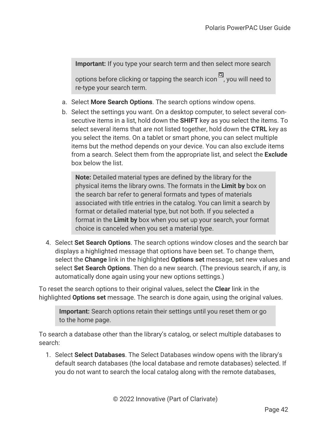**Important:** If you type your search term and then select more search

options before clicking or tapping the search icon  $\Box$ , you will need to re-type your search term.

- a. Select **More Search Options**. The search options window opens.
- b. Select the settings you want. On a desktop computer, to select several consecutive items in a list, hold down the **SHIFT** key as you select the items. To select several items that are not listed together, hold down the **CTRL** key as you select the items. On a tablet or smart phone, you can select multiple items but the method depends on your device. You can also exclude items from a search. Select them from the appropriate list, and select the **Exclude** box below the list.

**Note:** Detailed material types are defined by the library for the physical items the library owns. The formats in the **Limit by** box on the search bar refer to general formats and types of materials associated with title entries in the catalog. You can limit a search by format or detailed material type, but not both. If you selected a format in the **Limit by** box when you set up your search, your format choice is canceled when you set a material type.

4. Select **Set Search Options**. The search options window closes and the search bar displays a highlighted message that options have been set. To change them, select the **Change** link in the highlighted **Options set** message, set new values and select **Set Search Options**. Then do a new search. (The previous search, if any, is automatically done again using your new options settings.)

To reset the search options to their original values, select the **Clear** link in the highlighted **Options set** message. The search is done again, using the original values.

**Important:** Search options retain their settings until you reset them or go to the home page.

To search a database other than the library's catalog, or select multiple databases to search:

1. Select **Select Databases**. The Select Databases window opens with the library's default search databases (the local database and remote databases) selected. If you do not want to search the local catalog along with the remote databases,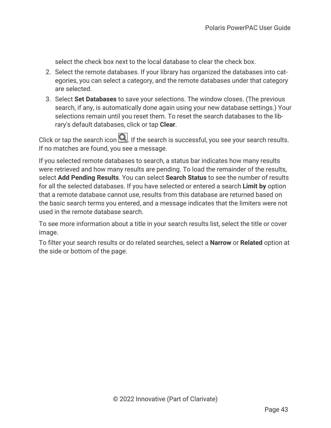select the check box next to the local database to clear the check box.

- 2. Select the remote databases. If your library has organized the databases into categories, you can select a category, and the remote databases under that category are selected.
- 3. Select **Set Databases** to save your selections. The window closes. (The previous search, if any, is automatically done again using your new database settings.) Your selections remain until you reset them. To reset the search databases to the library's default databases, click or tap **Clear**.

Click or tap the search icon  $\Box$ . If the search is successful, you see your search results. If no matches are found, you see a message.

If you selected remote databases to search, a status bar indicates how many results were retrieved and how many results are pending. To load the remainder of the results, select **Add Pending Results**. You can select **Search Status** to see the number of results for all the selected databases. If you have selected or entered a search **Limit by** option that a remote database cannot use, results from this database are returned based on the basic search terms you entered, and a message indicates that the limiters were not used in the remote database search.

To see more information about a title in your search results list, select the title or cover image.

To filter your search results or do related searches, select a **Narrow** or **Related** option at the side or bottom of the page.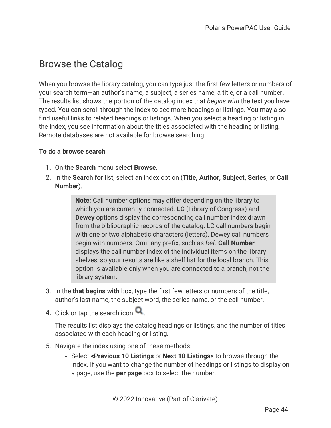# Browse the Catalog

When you browse the library catalog, you can type just the first few letters or numbers of your search term—an author's name, a subject, a series name, a title, or a call number. The results list shows the portion of the catalog index that *begins with* the text you have typed. You can scroll through the index to see more headings or listings. You may also find useful links to related headings or listings. When you select a heading or listing in the index, you see information about the titles associated with the heading or listing. Remote databases are not available for browse searching.

### **To do a browse search**

- 1. On the **Search** menu select **Browse**.
- 2. In the **Search for** list, select an index option (**Title, Author, Subject, Series,** or **Call Number**).

**Note:** Call number options may differ depending on the library to which you are currently connected. **LC** (Library of Congress) and **Dewey** options display the corresponding call number index drawn from the bibliographic records of the catalog. LC call numbers begin with one or two alphabetic characters (letters). Dewey call numbers begin with numbers. Omit any prefix, such as *Ref*. **Call Number** displays the call number index of the individual items on the library shelves, so your results are like a shelf list for the local branch. This option is available only when you are connected to a branch, not the library system.

- 3. In the **that begins with** box, type the first few letters or numbers of the title, author's last name, the subject word, the series name, or the call number.
- 4. Click or tap the search icon  $\Box$

The results list displays the catalog headings or listings, and the number of titles associated with each heading or listing.

- 5. Navigate the index using one of these methods:
	- <sup>l</sup> Select **<Previous 10 Listings** or **Next 10 Listings>** to browse through the index. If you want to change the number of headings or listings to display on a page, use the **per page** box to select the number.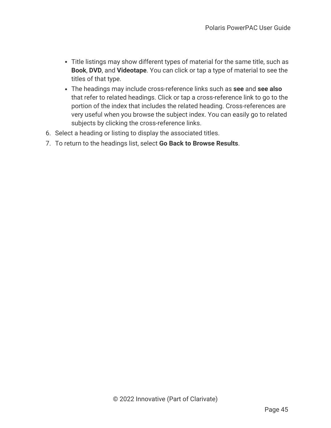- Title listings may show different types of material for the same title, such as **Book**, **DVD**, and **Videotape**. You can click or tap a type of material to see the titles of that type.
- <sup>l</sup> The headings may include cross-reference links such as **see** and **see also** that refer to related headings. Click or tap a cross-reference link to go to the portion of the index that includes the related heading. Cross-references are very useful when you browse the subject index. You can easily go to related subjects by clicking the cross-reference links.
- 6. Select a heading or listing to display the associated titles.
- 7. To return to the headings list, select **Go Back to Browse Results**.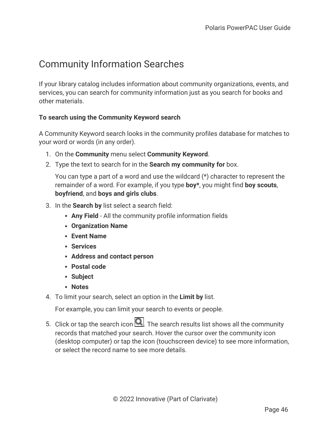# Community Information Searches

If your library catalog includes information about community organizations, events, and services, you can search for community information just as you search for books and other materials.

## **To search using the Community Keyword search**

A Community Keyword search looks in the community profiles database for matches to your word or words (in any order).

- 1. On the **Community** menu select **Community Keyword**.
- 2. Type the text to search for in the **Search my community for** box.

You can type a part of a word and use the wildcard (\*) character to represent the remainder of a word. For example, if you type **boy\***, you might find **boy scouts**, **boyfriend**, and **boys and girls clubs**.

- 3. In the **Search by** list select a search field:
	- **Any Field** All the community profile information fields
	- <sup>l</sup> **Organization Name**
	- <sup>l</sup> **Event Name**
	- **Services**
	- <sup>l</sup> **Address and contact person**
	- <sup>l</sup> **Postal code**
	- <sup>l</sup> **Subject**
	- <sup>l</sup> **Notes**
- 4. To limit your search, select an option in the **Limit by** list.

For example, you can limit your search to events or people.

5. Click or tap the search icon  $\Box$ . The search results list shows all the community records that matched your search. Hover the cursor over the community icon (desktop computer) or tap the icon (touchscreen device) to see more information, or select the record name to see more details.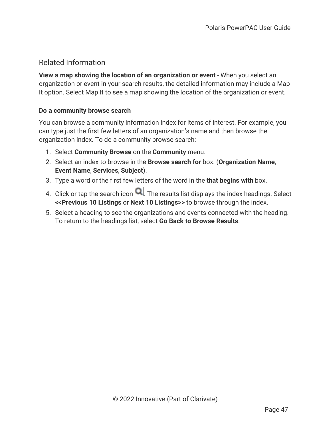## Related Information

**View a map showing the location of an organization or event** - When you select an organization or event in your search results, the detailed information may include a Map It option. Select Map It to see a map showing the location of the organization or event.

## **Do a community browse search**

You can browse a community information index for items of interest. For example, you can type just the first few letters of an organization's name and then browse the organization index. To do a community browse search:

- 1. Select **Community Browse** on the **Community** menu.
- 2. Select an index to browse in the **Browse search for** box: (**Organization Name**, **Event Name**, **Services**, **Subject**).
- 3. Type a word or the first few letters of the word in the **that begins with** box.
- 4. Click or tap the search icon  $\Box$ . The results list displays the index headings. Select **<<Previous 10 Listings** or **Next 10 Listings>>** to browse through the index.
- 5. Select a heading to see the organizations and events connected with the heading. To return to the headings list, select **Go Back to Browse Results**.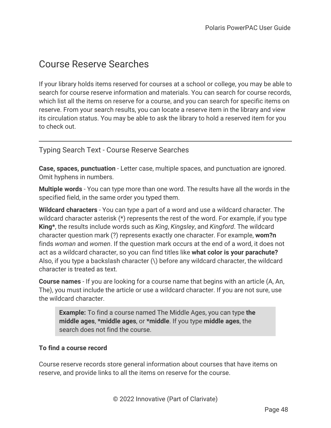# Course Reserve Searches

If your library holds items reserved for courses at a school or college, you may be able to search for course reserve information and materials. You can search for course records, which list all the items on reserve for a course, and you can search for specific items on reserve. From your search results, you can locate a reserve item in the library and view its circulation status. You may be able to ask the library to hold a reserved item for you to check out.

Typing Search Text - Course Reserve Searches

**Case, spaces, punctuation** - Letter case, multiple spaces, and punctuation are ignored. Omit hyphens in numbers.

**Multiple words** - You can type more than one word. The results have all the words in the specified field, in the same order you typed them.

**Wildcard characters** - You can type a part of a word and use a wildcard character. The wildcard character asterisk (\*) represents the rest of the word. For example, if you type **King\***, the results include words such as *King*, *Kingsley*, and *Kingford*. The wildcard character question mark (?) represents exactly one character. For example, **wom?n** finds *woman* and *women*. If the question mark occurs at the end of a word, it does not act as a wildcard character, so you can find titles like **what color is your parachute?** Also, if you type a backslash character (\) before any wildcard character, the wildcard character is treated as text.

**Course names** - If you are looking for a course name that begins with an article (A, An, The), you must include the article or use a wildcard character. If you are not sure, use the wildcard character.

**Example:** To find a course named The Middle Ages, you can type **the middle ages**, **\*middle ages**, or **\*middle**. If you type **middle ages**, the search does not find the course.

## **To find a course record**

Course reserve records store general information about courses that have items on reserve, and provide links to all the items on reserve for the course.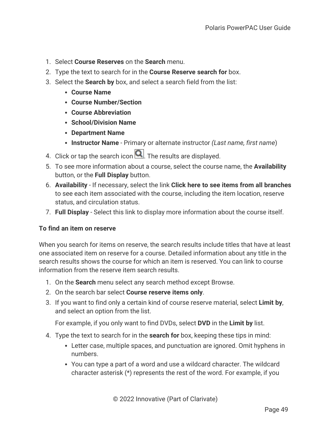- 1. Select **Course Reserves** on the **Search** menu.
- 2. Type the text to search for in the **Course Reserve search for** box.
- 3. Select the **Search by** box, and select a search field from the list:
	- <sup>l</sup> **Course Name**
	- <sup>l</sup> **Course Number/Section**
	- **Course Abbreviation**
	- <sup>l</sup> **School/Division Name**
	- <sup>l</sup> **Department Name**
	- **Instructor Name** Primary or alternate instructor *(Last name, first name)*
- 4. Click or tap the search icon  $\Box$ . The results are displayed.
- 5. To see more information about a course, select the course name, the **Availability** button, or the **Full Display** button.
- 6. **Availability** If necessary, select the link **Click here to see items from all branches** to see each item associated with the course, including the item location, reserve status, and circulation status.
- 7. **Full Display** Select this link to display more information about the course itself.

### **To find an item on reserve**

When you search for items on reserve, the search results include titles that have at least one associated item on reserve for a course. Detailed information about any title in the search results shows the course for which an item is reserved. You can link to course information from the reserve item search results.

- 1. On the **Search** menu select any search method except Browse.
- 2. On the search bar select **Course reserve items only**.
- 3. If you want to find only a certain kind of course reserve material, select **Limit by**, and select an option from the list.

For example, if you only want to find DVDs, select **DVD** in the **Limit by** list.

- 4. Type the text to search for in the **search for** box, keeping these tips in mind:
	- Letter case, multiple spaces, and punctuation are ignored. Omit hyphens in numbers.
	- You can type a part of a word and use a wildcard character. The wildcard character asterisk (\*) represents the rest of the word. For example, if you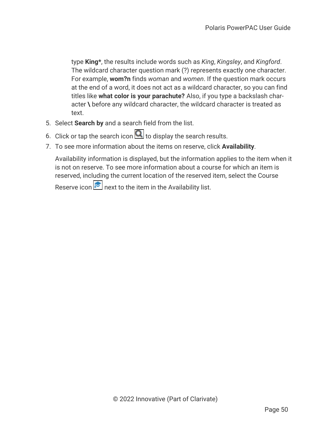type **King\***, the results include words such as *King*, *Kingsley*, and *Kingford*. The wildcard character question mark (?) represents exactly one character. For example, **wom?n** finds *woman* and *women*. If the question mark occurs at the end of a word, it does not act as a wildcard character, so you can find titles like **what color is your parachute?** Also, if you type a backslash character **\** before any wildcard character, the wildcard character is treated as text.

- 5. Select **Search by** and a search field from the list.
- 6. Click or tap the search icon  $\Box$  to display the search results.
- 7. To see more information about the items on reserve, click **Availability**.

Availability information is displayed, but the information applies to the item when it is not on reserve. To see more information about a course for which an item is reserved, including the current location of the reserved item, select the Course

Reserve icon  $\approx$  next to the item in the Availability list.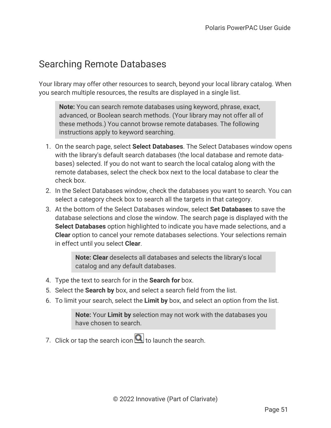# Searching Remote Databases

Your library may offer other resources to search, beyond your local library catalog. When you search multiple resources, the results are displayed in a single list.

**Note:** You can search remote databases using keyword, phrase, exact, advanced, or Boolean search methods. (Your library may not offer all of these methods.) You cannot browse remote databases. The following instructions apply to keyword searching.

- 1. On the search page, select **Select Databases**. The Select Databases window opens with the library's default search databases (the local database and remote databases) selected. If you do not want to search the local catalog along with the remote databases, select the check box next to the local database to clear the check box.
- 2. In the Select Databases window, check the databases you want to search. You can select a category check box to search all the targets in that category.
- 3. At the bottom of the Select Databases window, select **Set Databases** to save the database selections and close the window. The search page is displayed with the **Select Databases** option highlighted to indicate you have made selections, and a **Clear** option to cancel your remote databases selections. Your selections remain in effect until you select **Clear**.

**Note: Clear** deselects all databases and selects the library's local catalog and any default databases.

- 4. Type the text to search for in the **Search for** box.
- 5. Select the **Search by** box, and select a search field from the list.
- 6. To limit your search, select the **Limit by** box, and select an option from the list.

**Note:** Your **Limit by** selection may not work with the databases you have chosen to search.

7. Click or tap the search icon  $\Box$  to launch the search.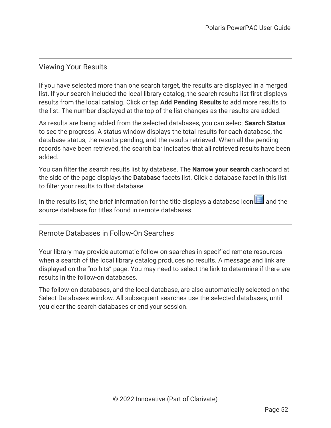## Viewing Your Results

If you have selected more than one search target, the results are displayed in a merged list. If your search included the local library catalog, the search results list first displays results from the local catalog. Click or tap **Add Pending Results** to add more results to the list. The number displayed at the top of the list changes as the results are added.

As results are being added from the selected databases, you can select **Search Status** to see the progress. A status window displays the total results for each database, the database status, the results pending, and the results retrieved. When all the pending records have been retrieved, the search bar indicates that all retrieved results have been added.

You can filter the search results list by database. The **Narrow your search** dashboard at the side of the page displays the **Database** facets list. Click a database facet in this list to filter your results to that database.

In the results list, the brief information for the title displays a database icon  $\Box$  and the source database for titles found in remote databases.

Remote Databases in Follow-On Searches

Your library may provide automatic follow-on searches in specified remote resources when a search of the local library catalog produces no results. A message and link are displayed on the "no hits" page. You may need to select the link to determine if there are results in the follow-on databases.

The follow-on databases, and the local database, are also automatically selected on the Select Databases window. All subsequent searches use the selected databases, until you clear the search databases or end your session.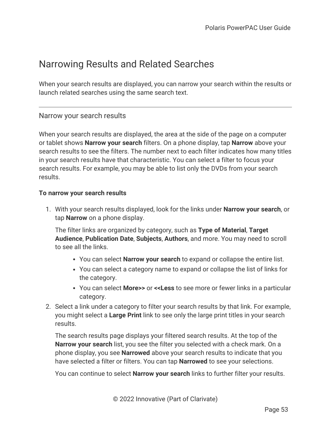# Narrowing Results and Related Searches

When your search results are displayed, you can narrow your search within the results or launch related searches using the same search text.

## Narrow your search results

When your search results are displayed, the area at the side of the page on a computer or tablet shows **Narrow your search** filters. On a phone display, tap **Narrow** above your search results to see the filters. The number next to each filter indicates how many titles in your search results have that characteristic. You can select a filter to focus your search results. For example, you may be able to list only the DVDs from your search results.

### **To narrow your search results**

1. With your search results displayed, look for the links under **Narrow your search**, or tap **Narrow** on a phone display.

The filter links are organized by category, such as **Type of Material**, **Target Audience**, **Publication Date**, **Subjects**, **Authors**, and more. You may need to scroll to see all the links.

- You can select **Narrow your search** to expand or collapse the entire list.
- You can select a category name to expand or collapse the list of links for the category.
- <sup>l</sup> You can select **More>>** or **<<Less** to see more or fewer links in a particular category.
- 2. Select a link under a category to filter your search results by that link. For example, you might select a **Large Print** link to see only the large print titles in your search results.

The search results page displays your filtered search results. At the top of the **Narrow your search** list, you see the filter you selected with a check mark. On a phone display, you see **Narrowed** above your search results to indicate that you have selected a filter or filters. You can tap **Narrowed** to see your selections.

You can continue to select **Narrow your search** links to further filter your results.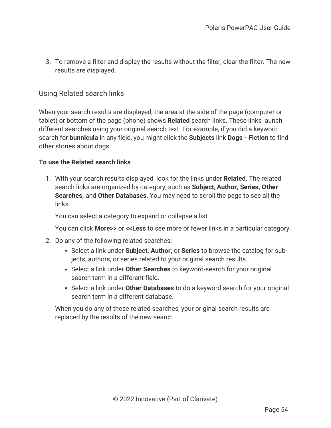3. To remove a filter and display the results without the filter, clear the filter. The new results are displayed.

## Using Related search links

When your search results are displayed, the area at the side of the page (computer or tablet) or bottom of the page (phone) shows **Related** search links. These links launch different searches using your original search text. For example, if you did a keyword search for **bunnicula** in any field, you might click the **Subjects** link **Dogs - Fiction** to find other stories about dogs.

### **To use the Related search links**

1. With your search results displayed, look for the links under **Related**. The related search links are organized by category, such as **Subject**, **Author, Series, Other Searches,** and **Other Databases**. You may need to scroll the page to see all the links.

You can select a category to expand or collapse a list.

You can click **More>>** or **<<Less** to see more or fewer links in a particular category.

- 2. Do any of the following related searches:
	- **Select a link under Subject, Author,** or **Series** to browse the catalog for subjects, authors, or series related to your original search results.
	- **Select a link under Other Searches** to keyword-search for your original search term in a different field.
	- **Select a link under Other Databases** to do a keyword search for your original search term in a different database.

When you do any of these related searches, your original search results are replaced by the results of the new search.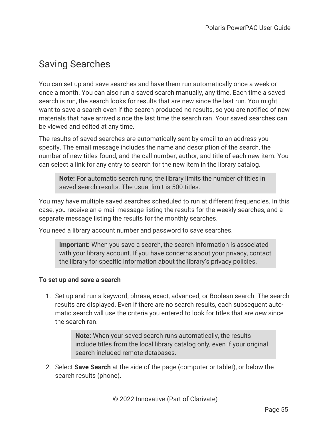# Saving Searches

You can set up and save searches and have them run automatically once a week or once a month. You can also run a saved search manually, any time. Each time a saved search is run, the search looks for results that are new since the last run. You might want to save a search even if the search produced no results, so you are notified of new materials that have arrived since the last time the search ran. Your saved searches can be viewed and edited at any time.

The results of saved searches are automatically sent by email to an address you specify. The email message includes the name and description of the search, the number of new titles found, and the call number, author, and title of each new item. You can select a link for any entry to search for the new item in the library catalog.

**Note:** For automatic search runs, the library limits the number of titles in saved search results. The usual limit is 500 titles.

You may have multiple saved searches scheduled to run at different frequencies. In this case, you receive an e-mail message listing the results for the weekly searches, and a separate message listing the results for the monthly searches.

You need a library account number and password to save searches.

**Important:** When you save a search, the search information is associated with your library account. If you have concerns about your privacy, contact the library for specific information about the library's privacy policies.

### <span id="page-59-0"></span>**To set up and save a search**

1. Set up and run a keyword, phrase, exact, advanced, or Boolean search. The search results are displayed. Even if there are no search results, each subsequent automatic search will use the criteria you entered to look for titles that are *new* since the search ran.

> **Note:** When your saved search runs automatically, the results include titles from the local library catalog only, even if your original search included remote databases.

2. Select **Save Search** at the side of the page (computer or tablet), or below the search results (phone).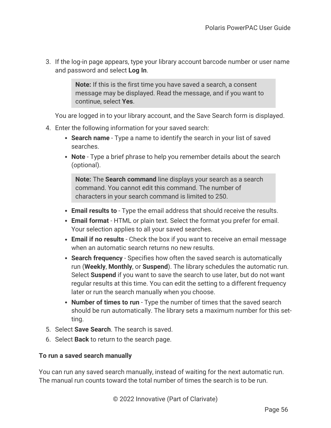3. If the log-in page appears, type your library account barcode number or user name and password and select **Log In**.

> **Note:** If this is the first time you have saved a search, a consent message may be displayed. Read the message, and if you want to continue, select **Yes**.

You are logged in to your library account, and the Save Search form is displayed.

- 4. Enter the following information for your saved search:
	- **Search name** Type a name to identify the search in your list of saved searches.
	- Note Type a brief phrase to help you remember details about the search (optional).

**Note:** The **Search command** line displays your search as a search command. You cannot edit this command. The number of characters in your search command is limited to 250.

- **Email results to** Type the email address that should receive the results.
- **Email format** HTML or plain text. Select the format you prefer for email. Your selection applies to all your saved searches.
- **Email if no results** Check the box if you want to receive an email message when an automatic search returns no new results.
- **Search frequency** Specifies how often the saved search is automatically run (**Weekly**, **Monthly**, or **Suspend**). The library schedules the automatic run. Select **Suspend** if you want to save the search to use later, but do not want regular results at this time. You can edit the setting to a different frequency later or run the search manually when you choose.
- **Number of times to run** Type the number of times that the saved search should be run automatically. The library sets a maximum number for this setting.
- 5. Select **Save Search**. The search is saved.
- 6. Select **Back** to return to the search page.

## **To run a saved search manually**

You can run any saved search manually, instead of waiting for the next automatic run. The manual run counts toward the total number of times the search is to be run.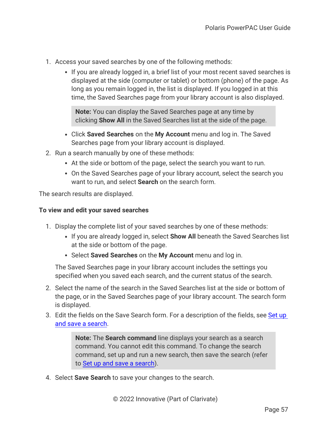- 1. Access your saved searches by one of the following methods:
	- If you are already logged in, a brief list of your most recent saved searches is displayed at the side (computer or tablet) or bottom (phone) of the page. As long as you remain logged in, the list is displayed. If you logged in at this time, the Saved Searches page from your library account is also displayed.

**Note:** You can display the Saved Searches page at any time by clicking **Show All** in the Saved Searches list at the side of the page.

- <sup>l</sup> Click **Saved Searches** on the **My Account** menu and log in. The Saved Searches page from your library account is displayed.
- 2. Run a search manually by one of these methods:
	- At the side or bottom of the page, select the search you want to run.
	- On the Saved Searches page of your library account, select the search you want to run, and select **Search** on the search form.

The search results are displayed.

### **To view and edit your saved searches**

- 1. Display the complete list of your saved searches by one of these methods:
	- If you are already logged in, select **Show All** beneath the Saved Searches list at the side or bottom of the page.
	- **Select Saved Searches** on the My Account menu and log in.

The Saved Searches page in your library account includes the settings you specified when you saved each search, and the current status of the search.

- 2. Select the name of the search in the Saved Searches list at the side or bottom of the page, or in the Saved Searches page of your library account. The search form is displayed.
- 3. Edit the fields on the Save Search form. For a description of the fields, see [Set](#page-59-0) up and save a [search](#page-59-0).

**Note:** The **Search command** line displays your search as a search command. You cannot edit this command. To change the search command, set up and run a new search, then save the search (refer to Set up and save a [search\)](#page-59-0).

4. Select **Save Search** to save your changes to the search.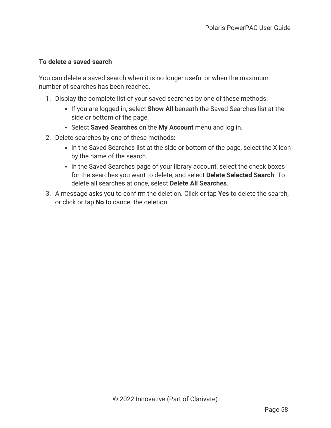## **To delete a saved search**

You can delete a saved search when it is no longer useful or when the maximum number of searches has been reached.

- 1. Display the complete list of your saved searches by one of these methods:
	- **.** If you are logged in, select **Show All** beneath the Saved Searches list at the side or bottom of the page.
	- **Select Saved Searches** on the My Account menu and log in.
- 2. Delete searches by one of these methods:
	- In the Saved Searches list at the side or bottom of the page, select the X icon by the name of the search.
	- In the Saved Searches page of your library account, select the check boxes for the searches you want to delete, and select **Delete Selected Search**. To delete all searches at once, select **Delete All Searches**.
- 3. A message asks you to confirm the deletion. Click or tap **Yes** to delete the search, or click or tap **No** to cancel the deletion.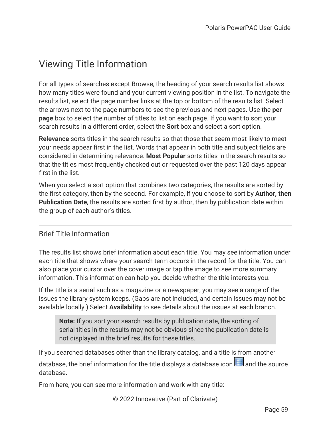# Viewing Title Information

For all types of searches except Browse, the heading of your search results list shows how many titles were found and your current viewing position in the list. To navigate the results list, select the page number links at the top or bottom of the results list. Select the arrows next to the page numbers to see the previous and next pages. Use the **per page** box to select the number of titles to list on each page. If you want to sort your search results in a different order, select the **Sort** box and select a sort option.

**Relevance** sorts titles in the search results so that those that seem most likely to meet your needs appear first in the list. Words that appear in both title and subject fields are considered in determining relevance. **Most Popular** sorts titles in the search results so that the titles most frequently checked out or requested over the past 120 days appear first in the list.

When you select a sort option that combines two categories, the results are sorted by the first category, then by the second. For example, if you choose to sort by **Author, then Publication Date**, the results are sorted first by author, then by publication date within the group of each author's titles.

## Brief Title Information

The results list shows brief information about each title. You may see information under each title that shows where your search term occurs in the record for the title. You can also place your cursor over the cover image or tap the image to see more summary information. This information can help you decide whether the title interests you.

If the title is a serial such as a magazine or a newspaper, you may see a range of the issues the library system keeps. (Gaps are not included, and certain issues may not be available locally.) Select **Availability** to see details about the issues at each branch.

**Note:** If you sort your search results by publication date, the sorting of serial titles in the results may not be obvious since the publication date is not displayed in the brief results for these titles.

If you searched databases other than the library catalog, and a title is from another database, the brief information for the title displays a database icon  $\Box$  and the source database.

From here, you can see more information and work with any title:

© 2022 Innovative (Part of Clarivate)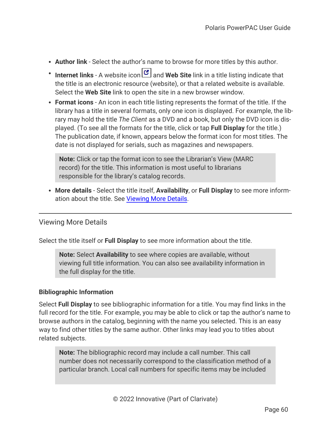- **Author link** Select the author's name to browse for more titles by this author.
- **Internet links** A website icon **Pull and Web Site** link in a title listing indicate that the title is an electronic resource (website), or that a related website is available. Select the **Web Site** link to open the site in a new browser window.
- **Format icons** An icon in each title listing represents the format of the title. If the library has a title in several formats, only one icon is displayed. For example, the library may hold the title *The Client* as a DVD and a book, but only the DVD icon is displayed. (To see all the formats for the title, click or tap **Full Display** for the title.) The publication date, if known, appears below the format icon for most titles. The date is not displayed for serials, such as magazines and newspapers.

**Note:** Click or tap the format icon to see the Librarian's View (MARC record) for the title. This information is most useful to librarians responsible for the library's catalog records.

<span id="page-64-0"></span><sup>l</sup> **More details** - Select the title itself, **Availability**, or **Full Display** to see more information about the title. See [Viewing](#page-64-0) More Details.

## Viewing More Details

Select the title itself or **Full Display** to see more information about the title.

**Note:** Select **Availability** to see where copies are available, without viewing full title information. You can also see availability information in the full display for the title.

## **Bibliographic Information**

Select **Full Display** to see bibliographic information for a title. You may find links in the full record for the title. For example, you may be able to click or tap the author's name to browse authors in the catalog, beginning with the name you selected. This is an easy way to find other titles by the same author. Other links may lead you to titles about related subjects.

**Note:** The bibliographic record may include a call number. This call number does not necessarily correspond to the classification method of a particular branch. Local call numbers for specific items may be included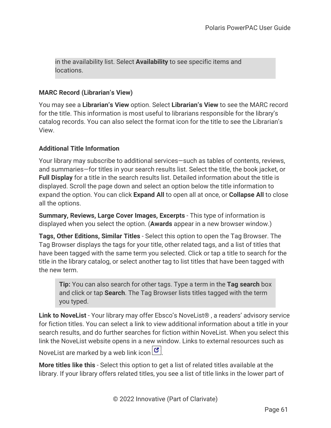in the availability list. Select **Availability** to see specific items and locations.

## **MARC Record (Librarian's View)**

You may see a **Librarian's View** option. Select **Librarian's View** to see the MARC record for the title. This information is most useful to librarians responsible for the library's catalog records. You can also select the format icon for the title to see the Librarian's View.

## **Additional Title Information**

Your library may subscribe to additional services—such as tables of contents, reviews, and summaries—for titles in your search results list. Select the title, the book jacket, or **Full Display** for a title in the search results list. Detailed information about the title is displayed. Scroll the page down and select an option below the title information to expand the option. You can click **Expand All** to open all at once, or **Collapse All** to close all the options.

**Summary, Reviews, Large Cover Images, Excerpts** - This type of information is displayed when you select the option. (**Awards** appear in a new browser window.)

**Tags, Other Editions, Similar Titles** - Select this option to open the Tag Browser. The Tag Browser displays the tags for your title, other related tags, and a list of titles that have been tagged with the same term you selected. Click or tap a title to search for the title in the library catalog, or select another tag to list titles that have been tagged with the new term.

**Tip:** You can also search for other tags. Type a term in the **Tag search** box and click or tap **Search**. The Tag Browser lists titles tagged with the term you typed.

**Link to NoveList** - Your library may offer Ebsco's NoveList® , a readers' advisory service for fiction titles. You can select a link to view additional information about a title in your search results, and do further searches for fiction within NoveList. When you select this link the NoveList website opens in a new window. Links to external resources such as

NoveList are marked by a web link icon  $\mathcal{C}$ .

**More titles like this** - Select this option to get a list of related titles available at the library. If your library offers related titles, you see a list of title links in the lower part of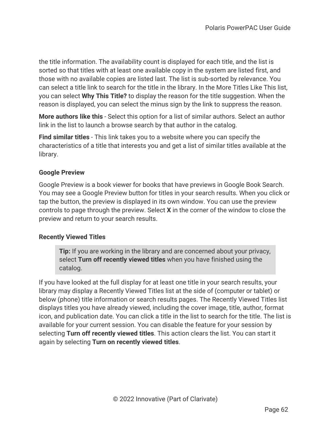the title information. The availability count is displayed for each title, and the list is sorted so that titles with at least one available copy in the system are listed first, and those with no available copies are listed last. The list is sub-sorted by relevance. You can select a title link to search for the title in the library. In the More Titles Like This list, you can select **Why This Title?** to display the reason for the title suggestion. When the reason is displayed, you can select the minus sign by the link to suppress the reason.

**More authors like this** - Select this option for a list of similar authors. Select an author link in the list to launch a browse search by that author in the catalog.

**Find similar titles** - This link takes you to a website where you can specify the characteristics of a title that interests you and get a list of similar titles available at the library.

### **Google Preview**

Google Preview is a book viewer for books that have previews in Google Book Search. You may see a Google Preview button for titles in your search results. When you click or tap the button, the preview is displayed in its own window. You can use the preview controls to page through the preview. Select **X** in the corner of the window to close the preview and return to your search results.

## **Recently Viewed Titles**

**Tip:** If you are working in the library and are concerned about your privacy, select **Turn off recently viewed titles** when you have finished using the catalog.

If you have looked at the full display for at least one title in your search results, your library may display a Recently Viewed Titles list at the side of (computer or tablet) or below (phone) title information or search results pages. The Recently Viewed Titles list displays titles you have already viewed, including the cover image, title, author, format icon, and publication date. You can click a title in the list to search for the title. The list is available for your current session. You can disable the feature for your session by selecting **Turn off recently viewed titles**. This action clears the list. You can start it again by selecting **Turn on recently viewed titles**.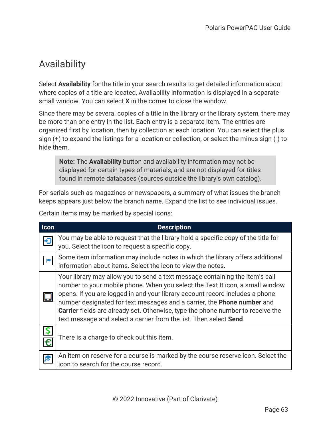# Availability

Select **Availability** for the title in your search results to get detailed information about where copies of a title are located, Availability information is displayed in a separate small window. You can select **X** in the corner to close the window.

Since there may be several copies of a title in the library or the library system, there may be more than one entry in the list. Each entry is a separate item. The entries are organized first by location, then by collection at each location. You can select the plus sign (+) to expand the listings for a location or collection, or select the minus sign (-) to hide them.

**Note:** The **Availability** button and availability information may not be displayed for certain types of materials, and are not displayed for titles found in remote databases (sources outside the library's own catalog).

For serials such as magazines or newspapers, a summary of what issues the branch keeps appears just below the branch name. Expand the list to see individual issues.

Certain items may be marked by special icons:

| Icon | <b>Description</b>                                                                                                                                                                                                                                                                                                                                                                                                                                                                              |
|------|-------------------------------------------------------------------------------------------------------------------------------------------------------------------------------------------------------------------------------------------------------------------------------------------------------------------------------------------------------------------------------------------------------------------------------------------------------------------------------------------------|
|      | You may be able to request that the library hold a specific copy of the title for<br>you. Select the icon to request a specific copy.                                                                                                                                                                                                                                                                                                                                                           |
|      | Some item information may include notes in which the library offers additional<br>information about items. Select the icon to view the notes.                                                                                                                                                                                                                                                                                                                                                   |
|      | Your library may allow you to send a text message containing the item's call<br>number to your mobile phone. When you select the Text It icon, a small window<br>opens. If you are logged in and your library account record includes a phone<br>number designated for text messages and a carrier, the <b>Phone number</b> and<br><b>Carrier</b> fields are already set. Otherwise, type the phone number to receive the<br>text message and select a carrier from the list. Then select Send. |
| €    | There is a charge to check out this item.                                                                                                                                                                                                                                                                                                                                                                                                                                                       |
|      | An item on reserve for a course is marked by the course reserve icon. Select the<br>icon to search for the course record.                                                                                                                                                                                                                                                                                                                                                                       |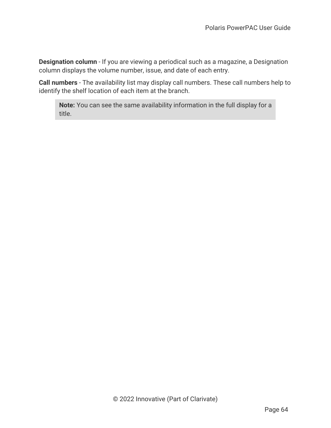**Designation column** - If you are viewing a periodical such as a magazine, a Designation column displays the volume number, issue, and date of each entry.

**Call numbers** - The availability list may display call numbers. These call numbers help to identify the shelf location of each item at the branch.

**Note:** You can see the same availability information in the full display for a title.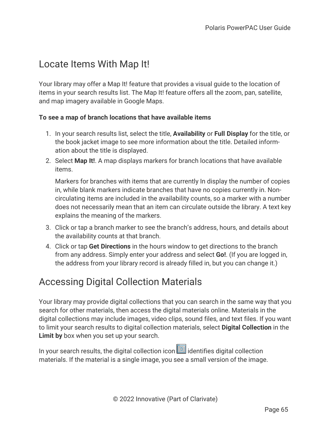# Locate Items With Map It!

Your library may offer a Map It! feature that provides a visual guide to the location of items in your search results list. The Map It! feature offers all the zoom, pan, satellite, and map imagery available in Google Maps.

## **To see a map of branch locations that have available items**

- 1. In your search results list, select the title, **Availability** or **Full Display** for the title, or the book jacket image to see more information about the title. Detailed information about the title is displayed.
- 2. Select **Map It!**. A map displays markers for branch locations that have available items.

Markers for branches with items that are currently In display the number of copies in, while blank markers indicate branches that have no copies currently in. Noncirculating items are included in the availability counts, so a marker with a number does not necessarily mean that an item can circulate outside the library. A text key explains the meaning of the markers.

- 3. Click or tap a branch marker to see the branch's address, hours, and details about the availability counts at that branch.
- 4. Click or tap **Get Directions** in the hours window to get directions to the branch from any address. Simply enter your address and select **Go!**. (If you are logged in, the address from your library record is already filled in, but you can change it.)

# Accessing Digital Collection Materials

Your library may provide digital collections that you can search in the same way that you search for other materials, then access the digital materials online. Materials in the digital collections may include images, video clips, sound files, and text files. If you want to limit your search results to digital collection materials, select **Digital Collection** in the **Limit by** box when you set up your search.

In your search results, the digital collection icon  $\Box$  identifies digital collection materials. If the material is a single image, you see a small version of the image.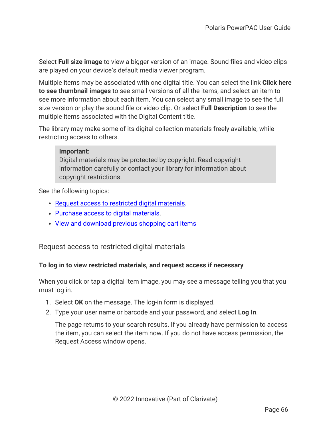Select **Full size image** to view a bigger version of an image. Sound files and video clips are played on your device's default media viewer program.

Multiple items may be associated with one digital title. You can select the link **Click here to see thumbnail images** to see small versions of all the items, and select an item to see more information about each item. You can select any small image to see the full size version or play the sound file or video clip. Or select **Full Description** to see the multiple items associated with the Digital Content title.

The library may make some of its digital collection materials freely available, while restricting access to others.

### **Important:**

Digital materials may be protected by copyright. Read copyright information carefully or contact your library for information about copyright restrictions.

See the following topics:

- Request access to [restricted](#page-70-0) digital materials.
- [Purchase](#page-71-0) access to digital materials.
- <span id="page-70-0"></span>• View and [download](#page-72-0) previous shopping cart items

Request access to restricted digital materials

## **To log in to view restricted materials, and request access if necessary**

When you click or tap a digital item image, you may see a message telling you that you must log in.

- 1. Select **OK** on the message. The log-in form is displayed.
- 2. Type your user name or barcode and your password, and select **Log In**.

The page returns to your search results. If you already have permission to access the item, you can select the item now. If you do not have access permission, the Request Access window opens.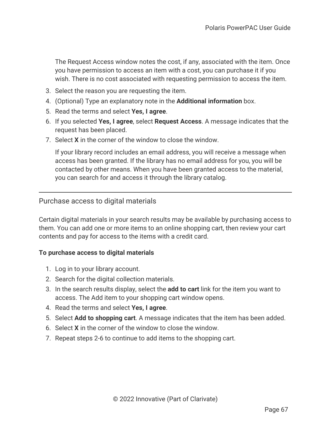The Request Access window notes the cost, if any, associated with the item. Once you have permission to access an item with a cost, you can purchase it if you wish. There is no cost associated with requesting permission to access the item.

- 3. Select the reason you are requesting the item.
- 4. (Optional) Type an explanatory note in the **Additional information** box.
- 5. Read the terms and select **Yes, I agree**.
- 6. If you selected **Yes, I agree**, select **Request Access**. A message indicates that the request has been placed.
- 7. Select **X** in the corner of the window to close the window.

If your library record includes an email address, you will receive a message when access has been granted. If the library has no email address for you, you will be contacted by other means. When you have been granted access to the material, you can search for and access it through the library catalog.

<span id="page-71-0"></span>Purchase access to digital materials

Certain digital materials in your search results may be available by purchasing access to them. You can add one or more items to an online shopping cart, then review your cart contents and pay for access to the items with a credit card.

### **To purchase access to digital materials**

- 1. Log in to your library account.
- 2. Search for the digital collection materials.
- 3. In the search results display, select the **add to cart** link for the item you want to access. The Add item to your shopping cart window opens.
- 4. Read the terms and select **Yes, I agree**.
- 5. Select **Add to shopping cart**. A message indicates that the item has been added.
- 6. Select **X** in the corner of the window to close the window.
- 7. Repeat steps 2-6 to continue to add items to the shopping cart.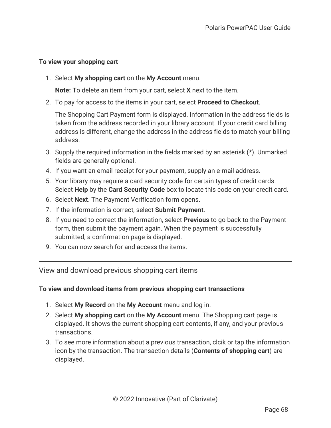### **To view your shopping cart**

1. Select **My shopping cart** on the **My Account** menu.

**Note:** To delete an item from your cart, select **X** next to the item.

2. To pay for access to the items in your cart, select **Proceed to Checkout**.

The Shopping Cart Payment form is displayed. Information in the address fields is taken from the address recorded in your library account. If your credit card billing address is different, change the address in the address fields to match your billing address.

- 3. Supply the required information in the fields marked by an asterisk (**\***). Unmarked fields are generally optional.
- 4. If you want an email receipt for your payment, supply an e-mail address.
- 5. Your library may require a card security code for certain types of credit cards. Select **Help** by the **Card Security Code** box to locate this code on your credit card.
- 6. Select **Next**. The Payment Verification form opens.
- 7. If the information is correct, select **Submit Payment**.
- 8. If you need to correct the information, select **Previous** to go back to the Payment form, then submit the payment again. When the payment is successfully submitted, a confirmation page is displayed.
- 9. You can now search for and access the items.

View and download previous shopping cart items

### **To view and download items from previous shopping cart transactions**

- 1. Select **My Record** on the **My Account** menu and log in.
- 2. Select **My shopping cart** on the **My Account** menu. The Shopping cart page is displayed. It shows the current shopping cart contents, if any, and your previous transactions.
- 3. To see more information about a previous transaction, clcik or tap the information icon by the transaction. The transaction details (**Contents of shopping cart**) are displayed.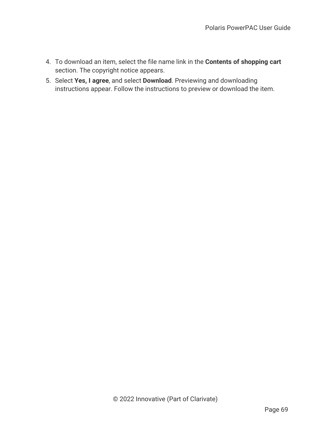- 4. To download an item, select the file name link in the **Contents of shopping cart** section. The copyright notice appears.
- 5. Select **Yes, I agree**, and select **Download**. Previewing and downloading instructions appear. Follow the instructions to preview or download the item.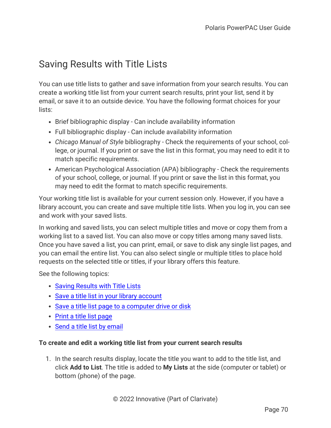# <span id="page-74-0"></span>Saving Results with Title Lists

You can use title lists to gather and save information from your search results. You can create a working title list from your current search results, print your list, send it by email, or save it to an outside device. You have the following format choices for your lists:

- Brief bibliographic display Can include availability information
- Full bibliographic display Can include availability information
- Chicago Manual of Style bibliography Check the requirements of your school, college, or journal. If you print or save the list in this format, you may need to edit it to match specific requirements.
- American Psychological Association (APA) bibliography Check the requirements of your school, college, or journal. If you print or save the list in this format, you may need to edit the format to match specific requirements.

Your working title list is available for your current session only. However, if you have a library account, you can create and save multiple title lists. When you log in, you can see and work with your saved lists.

In working and saved lists, you can select multiple titles and move or copy them from a working list to a saved list. You can also move or copy titles among many saved lists. Once you have saved a list, you can print, email, or save to disk any single list pages, and you can email the entire list. You can also select single or multiple titles to place hold requests on the selected title or titles, if your library offers this feature.

See the following topics:

- Saving [Results](#page-74-0) with Title Lists
- Save a title list in your library [account](#page-76-0)
- Save a title list page to a [computer](#page-77-0) drive or disk
- Print a title list [page](#page-78-0)
- Send a title list by [email](#page-79-0)

### **To create and edit a working title list from your current search results**

1. In the search results display, locate the title you want to add to the title list, and click **Add to List**. The title is added to **My Lists** at the side (computer or tablet) or bottom (phone) of the page.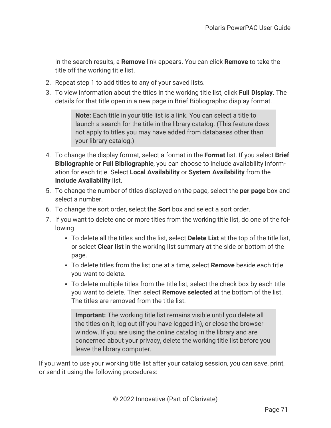In the search results, a **Remove** link appears. You can click **Remove** to take the title off the working title list.

- 2. Repeat step 1 to add titles to any of your saved lists.
- 3. To view information about the titles in the working title list, click **Full Display**. The details for that title open in a new page in Brief Bibliographic display format.

**Note:** Each title in your title list is a link. You can select a title to launch a search for the title in the library catalog. (This feature does not apply to titles you may have added from databases other than your library catalog.)

- 4. To change the display format, select a format in the **Format** list. If you select **Brief Bibliographic** or **Full Bibliographic**, you can choose to include availability information for each title. Select **Local Availability** or **System Availability** from the **Include Availability** list.
- 5. To change the number of titles displayed on the page, select the **per page** box and select a number.
- 6. To change the sort order, select the **Sort** box and select a sort order.
- 7. If you want to delete one or more titles from the working title list, do one of the following
	- **•** To delete all the titles and the list, select **Delete List** at the top of the title list, or select **Clear list** in the working list summary at the side or bottom of the page.
	- <sup>l</sup> To delete titles from the list one at a time, select **Remove** beside each title you want to delete.
	- To delete multiple titles from the title list, select the check box by each title you want to delete. Then select **Remove selected** at the bottom of the list. The titles are removed from the title list.

**Important:** The working title list remains visible until you delete all the titles on it, log out (if you have logged in), or close the browser window. If you are using the online catalog in the library and are concerned about your privacy, delete the working title list before you leave the library computer.

If you want to use your working title list after your catalog session, you can save, print, or send it using the following procedures: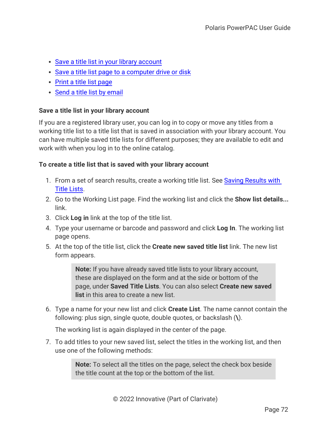- Save a title list in your library [account](#page-76-0)
- Save a title list page to a [computer](#page-77-0) drive or disk
- Print a title list [page](#page-78-0)
- Send a title list by [email](#page-79-0)

### <span id="page-76-0"></span>**Save a title list in your library account**

If you are a registered library user, you can log in to copy or move any titles from a working title list to a title list that is saved in association with your library account. You can have multiple saved title lists for different purposes; they are available to edit and work with when you log in to the online catalog.

### **To create a title list that is saved with your library account**

- 1. From a set of search results, create a working title list. See Saving [Results](#page-74-0) with Title [Lists.](#page-74-0)
- 2. Go to the Working List page. Find the working list and click the **Show list details...** link.
- 3. Click **Log in** link at the top of the title list.
- 4. Type your username or barcode and password and click **Log In**. The working list page opens.
- 5. At the top of the title list, click the **Create new saved title list** link. The new list form appears.

**Note:** If you have already saved title lists to your library account, these are displayed on the form and at the side or bottom of the page, under **Saved Title Lists**. You can also select **Create new saved list** in this area to create a new list.

6. Type a name for your new list and click **Create List**. The name cannot contain the following: plus sign, single quote, double quotes, or backslash (**\**).

The working list is again displayed in the center of the page.

7. To add titles to your new saved list, select the titles in the working list, and then use one of the following methods:

> **Note:** To select all the titles on the page, select the check box beside the title count at the top or the bottom of the list.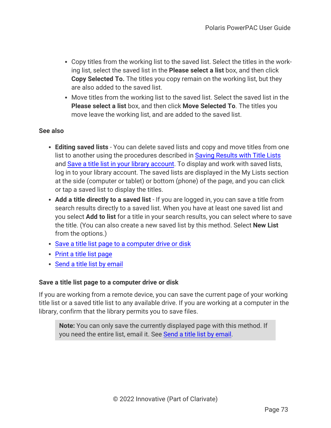- Copy titles from the working list to the saved list. Select the titles in the working list, select the saved list in the **Please select a list** box, and then click **Copy Selected To.** The titles you copy remain on the working list, but they are also added to the saved list.
- Move titles from the working list to the saved list. Select the saved list in the **Please select a list** box, and then click **Move Selected To**. The titles you move leave the working list, and are added to the saved list.

### **See also**

- <sup>l</sup> **Editing saved lists** You can delete saved lists and copy and move titles from one list to another using the procedures described in Saving [Results](#page-74-0) with Title Lists and Save a title list in your library [account](#page-76-0). To display and work with saved lists, log in to your library account. The saved lists are displayed in the My Lists section at the side (computer or tablet) or bottom (phone) of the page, and you can click or tap a saved list to display the titles.
- <sup>l</sup> **Add a title directly to a saved list** If you are logged in, you can save a title from search results directly to a saved list. When you have at least one saved list and you select **Add to list** for a title in your search results, you can select where to save the title. (You can also create a new saved list by this method. Select **New List** from the options.)
- Save a title list page to a [computer](#page-77-0) drive or disk
- Print a title list [page](#page-78-0)
- Send a title list by [email](#page-79-0)

### <span id="page-77-0"></span>**Save a title list page to a computer drive or disk**

If you are working from a remote device, you can save the current page of your working title list or a saved title list to any available drive. If you are working at a computer in the library, confirm that the library permits you to save files.

**Note:** You can only save the currently displayed page with this method. If you need the entire list, email it. See Send a title list by [email](#page-79-0).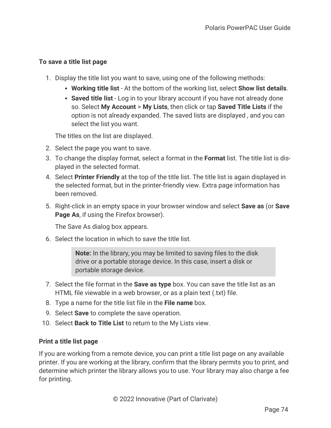## **To save a title list page**

- 1. Display the title list you want to save, using one of the following methods:
	- <sup>l</sup> **Working title list** At the bottom of the working list, select **Show list details**.
	- **Saved title list** Log in to your library account if you have not already done so. Select **My Account** > **My Lists**, then click or tap **Saved Title Lists** if the option is not already expanded. The saved lists are displayed , and you can select the list you want.

The titles on the list are displayed.

- 2. Select the page you want to save.
- 3. To change the display format, select a format in the **Format** list. The title list is displayed in the selected format.
- 4. Select **Printer Friendly** at the top of the title list. The title list is again displayed in the selected format, but in the printer-friendly view. Extra page information has been removed.
- 5. Right-click in an empty space in your browser window and select **Save as** (or **Save Page As**, if using the Firefox browser).

The Save As dialog box appears.

6. Select the location in which to save the title list.

**Note:** In the library, you may be limited to saving files to the disk drive or a portable storage device. In this case, insert a disk or portable storage device.

- 7. Select the file format in the **Save as type** box. You can save the title list as an HTML file viewable in a web browser, or as a plain text (.txt) file.
- 8. Type a name for the title list file in the **File name** box.
- 9. Select **Save** to complete the save operation.
- 10. Select **Back to Title List** to return to the My Lists view.

### <span id="page-78-0"></span>**Print a title list page**

If you are working from a remote device, you can print a title list page on any available printer. If you are working at the library, confirm that the library permits you to print, and determine which printer the library allows you to use. Your library may also charge a fee for printing.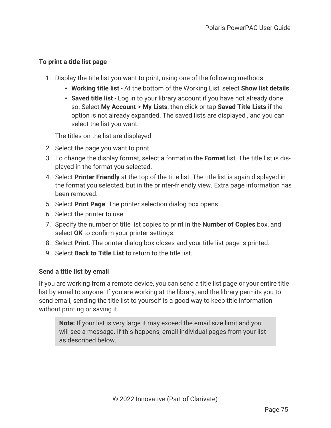## **To print a title list page**

- 1. Display the title list you want to print, using one of the following methods:
	- <sup>l</sup> **Working title list** At the bottom of the Working List, select **Show list details**.
	- **Saved title list** Log in to your library account if you have not already done so. Select **My Account** > **My Lists**, then click or tap **Saved Title Lists** if the option is not already expanded. The saved lists are displayed , and you can select the list you want.

The titles on the list are displayed.

- 2. Select the page you want to print.
- 3. To change the display format, select a format in the **Format** list. The title list is displayed in the format you selected.
- 4. Select **Printer Friendly** at the top of the title list. The title list is again displayed in the format you selected, but in the printer-friendly view. Extra page information has been removed.
- 5. Select **Print Page**. The printer selection dialog box opens.
- 6. Select the printer to use.
- 7. Specify the number of title list copies to print in the **Number of Copies** box, and select **OK** to confirm your printer settings.
- 8. Select **Print**. The printer dialog box closes and your title list page is printed.
- 9. Select **Back to Title List** to return to the title list.

## <span id="page-79-0"></span>**Send a title list by email**

If you are working from a remote device, you can send a title list page or your entire title list by email to anyone. If you are working at the library, and the library permits you to send email, sending the title list to yourself is a good way to keep title information without printing or saving it.

**Note:** If your list is very large it may exceed the email size limit and you will see a message. If this happens, email individual pages from your list as described below.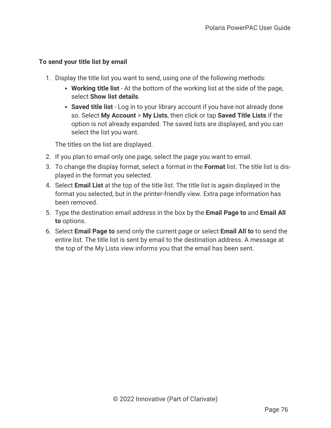## **To send your title list by email**

- 1. Display the title list you want to send, using one of the following methods:
	- **Working title list** At the bottom of the working list at the side of the page, select **Show list details**.
	- **Saved title list** Log in to your library account if you have not already done so. Select **My Account** > **My Lists**, then click or tap **Saved Title Lists** if the option is not already expanded. The saved lists are displayed, and you can select the list you want.

The titles on the list are displayed.

- 2. If you plan to email only one page, select the page you want to email.
- 3. To change the display format, select a format in the **Format** list. The title list is displayed in the format you selected.
- 4. Select **Email List** at the top of the title list. The title list is again displayed in the format you selected, but in the printer-friendly view. Extra page information has been removed.
- 5. Type the destination email address in the box by the **Email Page to** and **Email All to** options.
- 6. Select **Email Page to** send only the current page or select **Email All to** to send the entire list. The title list is sent by email to the destination address. A message at the top of the My Lists view informs you that the email has been sent.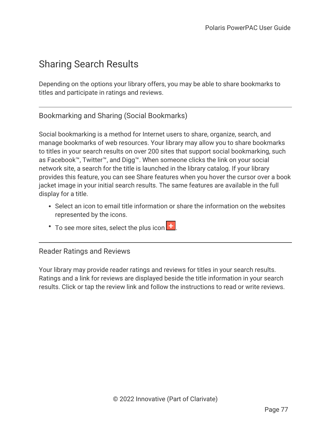## Sharing Search Results

Depending on the options your library offers, you may be able to share bookmarks to titles and participate in ratings and reviews.

Bookmarking and Sharing (Social Bookmarks)

Social bookmarking is a method for Internet users to share, organize, search, and manage bookmarks of web resources. Your library may allow you to share bookmarks to titles in your search results on over 200 sites that support social bookmarking, such as Facebook™, Twitter™, and Digg™. When someone clicks the link on your social network site, a search for the title is launched in the library catalog. If your library provides this feature, you can see Share features when you hover the cursor over a book jacket image in your initial search results. The same features are available in the full display for a title.

- Select an icon to email title information or share the information on the websites represented by the icons.
- $\cdot$  To see more sites, select the plus icon  $\left| \cdot \right|$ .

Reader Ratings and Reviews

Your library may provide reader ratings and reviews for titles in your search results. Ratings and a link for reviews are displayed beside the title information in your search results. Click or tap the review link and follow the instructions to read or write reviews.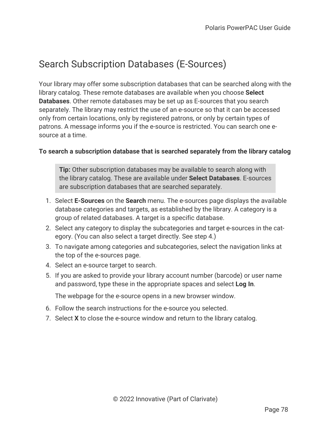# Search Subscription Databases (E-Sources)

Your library may offer some subscription databases that can be searched along with the library catalog. These remote databases are available when you choose **Select Databases**. Other remote databases may be set up as E-sources that you search separately. The library may restrict the use of an e-source so that it can be accessed only from certain locations, only by registered patrons, or only by certain types of patrons. A message informs you if the e-source is restricted. You can search one esource at a time.

### **To search a subscription database that is searched separately from the library catalog**

**Tip:** Other subscription databases may be available to search along with the library catalog. These are available under **Select Databases**. E-sources are subscription databases that are searched separately.

- 1. Select **E-Sources** on the **Search** menu. The e-sources page displays the available database categories and targets, as established by the library. A category is a group of related databases. A target is a specific database.
- 2. Select any category to display the subcategories and target e-sources in the category. (You can also select a target directly. See step 4.)
- 3. To navigate among categories and subcategories, select the navigation links at the top of the e-sources page.
- 4. Select an e-source target to search.
- 5. If you are asked to provide your library account number (barcode) or user name and password, type these in the appropriate spaces and select **Log In**.

The webpage for the e-source opens in a new browser window.

- 6. Follow the search instructions for the e-source you selected.
- 7. Select **X** to close the e-source window and return to the library catalog.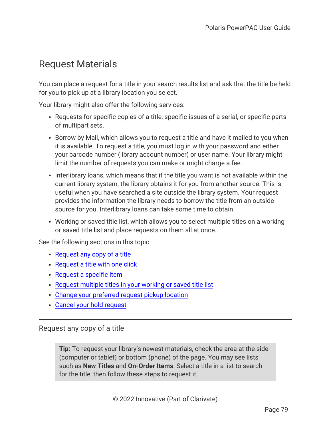## Request Materials

You can place a request for a title in your search results list and ask that the title be held for you to pick up at a library location you select.

Your library might also offer the following services:

- Requests for specific copies of a title, specific issues of a serial, or specific parts of multipart sets.
- Borrow by Mail, which allows you to request a title and have it mailed to you when it is available. To request a title, you must log in with your password and either your barcode number (library account number) or user name. Your library might limit the number of requests you can make or might charge a fee.
- Interlibrary loans, which means that if the title you want is not available within the current library system, the library obtains it for you from another source. This is useful when you have searched a site outside the library system. Your request provides the information the library needs to borrow the title from an outside source for you. Interlibrary loans can take some time to obtain.
- Working or saved title list, which allows you to select multiple titles on a working or saved title list and place requests on them all at once.

See the following sections in this topic:

- $\cdot$  [Request](#page-83-0) any copy of a title
- [Request](#page-85-0) a title with one click
- [Request](#page-86-0) a specific item
- [Request](#page-88-0) multiple titles in your working or saved title list
- Change your [preferred](#page-88-1) request pickup location
- Cancel your hold [request](#page-89-0)

<span id="page-83-0"></span>Request any copy of a title

**Tip:** To request your library's newest materials, check the area at the side (computer or tablet) or bottom (phone) of the page. You may see lists such as **New Titles** and **On-Order Items**. Select a title in a list to search for the title, then follow these steps to request it.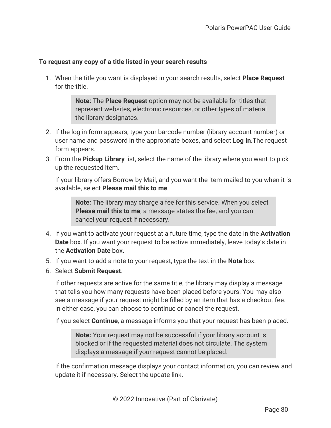### **To request any copy of a title listed in your search results**

1. When the title you want is displayed in your search results, select **Place Request** for the title.

> **Note:** The **Place Request** option may not be available for titles that represent websites, electronic resources, or other types of material the library designates.

- 2. If the log in form appears, type your barcode number (library account number) or user name and password in the appropriate boxes, and select **Log In**.The request form appears.
- 3. From the **Pickup Library** list, select the name of the library where you want to pick up the requested item.

If your library offers Borrow by Mail, and you want the item mailed to you when it is available, select **Please mail this to me**.

**Note:** The library may charge a fee for this service. When you select **Please mail this to me**, a message states the fee, and you can cancel your request if necessary.

- 4. If you want to activate your request at a future time, type the date in the **Activation Date** box. If you want your request to be active immediately, leave today's date in the **Activation Date** box.
- 5. If you want to add a note to your request, type the text in the **Note** box.
- 6. Select **Submit Request**.

If other requests are active for the same title, the library may display a message that tells you how many requests have been placed before yours. You may also see a message if your request might be filled by an item that has a checkout fee. In either case, you can choose to continue or cancel the request.

If you select **Continue**, a message informs you that your request has been placed.

**Note:** Your request may not be successful if your library account is blocked or if the requested material does not circulate. The system displays a message if your request cannot be placed.

If the confirmation message displays your contact information, you can review and update it if necessary. Select the update link.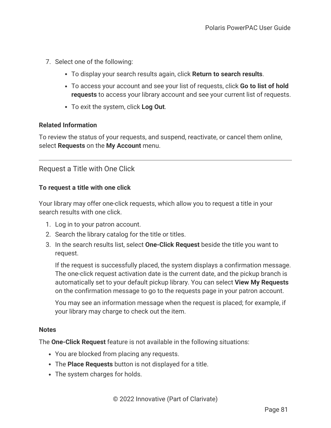- 7. Select one of the following:
	- <sup>l</sup> To display your search results again, click **Return to search results**.
	- <sup>l</sup> To access your account and see your list of requests, click **Go to list of hold requests** to access your library account and see your current list of requests.
	- To exit the system, click Log Out.

### **Related Information**

To review the status of your requests, and suspend, reactivate, or cancel them online, select **Requests** on the **My Account** menu.

## <span id="page-85-0"></span>Request a Title with One Click

### **To request a title with one click**

Your library may offer one-click requests, which allow you to request a title in your search results with one click.

- 1. Log in to your patron account.
- 2. Search the library catalog for the title or titles.
- 3. In the search results list, select **One-Click Request** beside the title you want to request.

If the request is successfully placed, the system displays a confirmation message. The one-click request activation date is the current date, and the pickup branch is automatically set to your default pickup library. You can select **View My Requests** on the confirmation message to go to the requests page in your patron account.

You may see an information message when the request is placed; for example, if your library may charge to check out the item.

### **Notes**

The **One-Click Request** feature is not available in the following situations:

- You are blocked from placing any requests.
- **The Place Requests** button is not displayed for a title.
- The system charges for holds.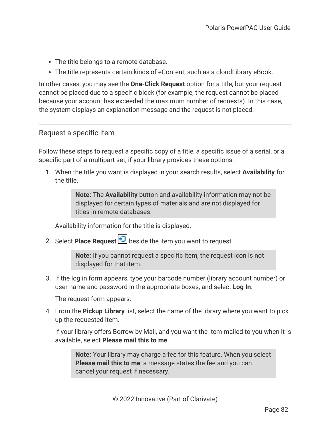- The title belongs to a remote database.
- The title represents certain kinds of eContent, such as a cloudLibrary eBook.

In other cases, you may see the **One-Click Request** option for a title, but your request cannot be placed due to a specific block (for example, the request cannot be placed because your account has exceeded the maximum number of requests). In this case, the system displays an explanation message and the request is not placed.

## <span id="page-86-0"></span>Request a specific item

Follow these steps to request a specific copy of a title, a specific issue of a serial, or a specific part of a multipart set, if your library provides these options.

1. When the title you want is displayed in your search results, select **Availability** for the title.

> **Note:** The **Availability** button and availability information may not be displayed for certain types of materials and are not displayed for titles in remote databases.

Availability information for the title is displayed.

2. Select **Place Request D** beside the item you want to request.

**Note:** If you cannot request a specific item, the request icon is not displayed for that item.

3. If the log in form appears, type your barcode number (library account number) or user name and password in the appropriate boxes, and select **Log In**.

The request form appears.

4. From the **Pickup Library** list, select the name of the library where you want to pick up the requested item.

If your library offers Borrow by Mail, and you want the item mailed to you when it is available, select **Please mail this to me**.

**Note:** Your library may charge a fee for this feature. When you select **Please mail this to me**, a message states the fee and you can cancel your request if necessary.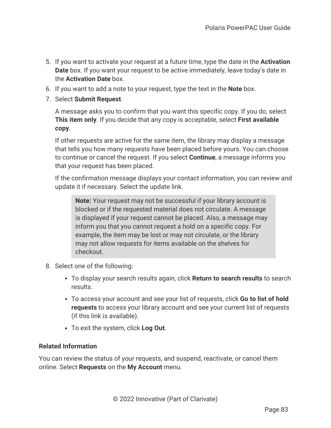- 5. If you want to activate your request at a future time, type the date in the **Activation Date** box. If you want your request to be active immediately, leave today's date in the **Activation Date** box.
- 6. If you want to add a note to your request, type the text in the **Note** box.
- 7. Select **Submit Request**.

A message asks you to confirm that you want this specific copy. If you do, select **This item only**. If you decide that any copy is acceptable, select **First available copy**.

If other requests are active for the same item, the library may display a message that tells you how many requests have been placed before yours. You can choose to continue or cancel the request. If you select **Continue**, a message informs you that your request has been placed.

If the confirmation message displays your contact information, you can review and update it if necessary. Select the update link.

**Note:** Your request may not be successful if your library account is blocked or if the requested material does not circulate. A message is displayed if your request cannot be placed. Also, a message may inform you that you cannot request a hold on a specific copy. For example, the item may be lost or may not circulate, or the library may not allow requests for items available on the shelves for checkout.

- 8. Select one of the following:
	- <sup>l</sup> To display your search results again, click **Return to search results** to search results.
	- <sup>l</sup> To access your account and see your list of requests, click **Go to list of hold requests** to access your library account and see your current list of requests (if this link is available).
	- To exit the system, click **Log Out**.

### **Related Information**

You can review the status of your requests, and suspend, reactivate, or cancel them online. Select **Requests** on the **My Account** menu.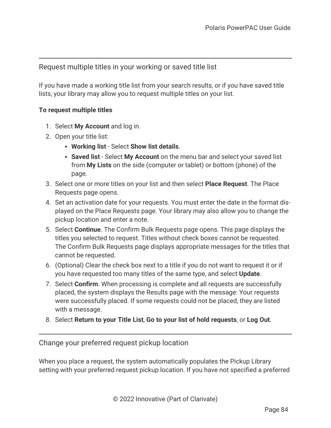## <span id="page-88-0"></span>Request multiple titles in your working or saved title list

If you have made a working title list from your search results, or if you have saved title lists, your library may allow you to request multiple titles on your list.

### **To request multiple titles**

- 1. Select **My Account** and log in.
- 2. Open your title list:
	- <sup>l</sup> **Working list** Select **Show list details**.
	- **Saved list** Select My Account on the menu bar and select your saved list from **My Lists** on the side (computer or tablet) or bottom (phone) of the page.
- 3. Select one or more titles on your list and then select **Place Request**. The Place Requests page opens.
- 4. Set an activation date for your requests. You must enter the date in the format displayed on the Place Requests page. Your library may also allow you to change the pickup location and enter a note.
- 5. Select **Continue**. The Confirm Bulk Requests page opens. This page displays the titles you selected to request. Titles without check boxes cannot be requested. The Confirm Bulk Requests page displays appropriate messages for the titles that cannot be requested.
- 6. (Optional) Clear the check box next to a title if you do not want to request it or if you have requested too many titles of the same type, and select **Update**.
- 7. Select **Confirm**. When processing is complete and all requests are successfully placed, the system displays the Results page with the message: Your requests were successfully placed. If some requests could not be placed, they are listed with a message.
- 8. Select **Return to your Title List**, **Go to your list of hold requests**, or **Log Out**.

<span id="page-88-1"></span>Change your preferred request pickup location

When you place a request, the system automatically populates the Pickup Library setting with your preferred request pickup location. If you have not specified a preferred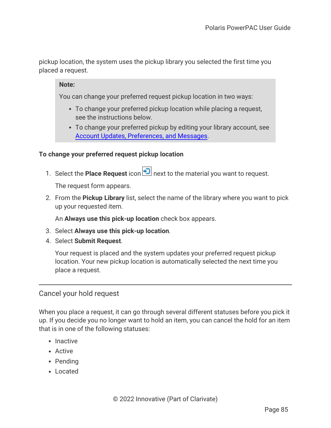pickup location, the system uses the pickup library you selected the first time you placed a request.

**Note:**

You can change your preferred request pickup location in two ways:

- To change your preferred pickup location while placing a request, see the instructions below.
- To change your preferred pickup by editing your library account, see Account Updates, [Preferences,](#page-98-0) and Messages.

### **To change your preferred request pickup location**

1. Select the **Place Request** icon **D** next to the material you want to request.

The request form appears.

2. From the **Pickup Library** list, select the name of the library where you want to pick up your requested item.

An **Always use this pick-up location** check box appears.

- 3. Select **Always use this pick-up location**.
- 4. Select **Submit Request**.

Your request is placed and the system updates your preferred request pickup location. Your new pickup location is automatically selected the next time you place a request.

### <span id="page-89-0"></span>Cancel your hold request

When you place a request, it can go through several different statuses before you pick it up. If you decide you no longer want to hold an item, you can cancel the hold for an item that is in one of the following statuses:

- $\cdot$  Inactive
- Active
- Pending
- Located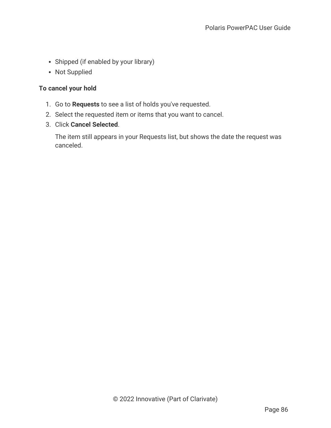- Shipped (if enabled by your library)
- Not Supplied

### **To cancel your hold**

- 1. Go to **Requests** to see a list of holds you've requested.
- 2. Select the requested item or items that you want to cancel.
- 3. Click **Cancel Selected**.

The item still appears in your Requests list, but shows the date the request was canceled.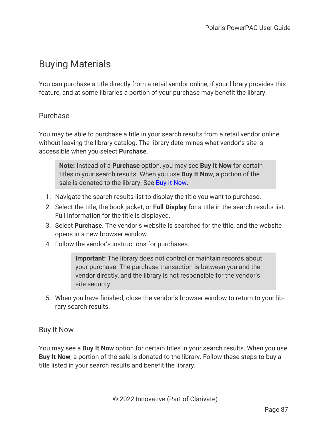# Buying Materials

You can purchase a title directly from a retail vendor online, if your library provides this feature, and at some libraries a portion of your purchase may benefit the library.

## Purchase

You may be able to purchase a title in your search results from a retail vendor online, without leaving the library catalog. The library determines what vendor's site is accessible when you select **Purchase**.

**Note:** Instead of a **Purchase** option, you may see **Buy It Now** for certain titles in your search results. When you use **Buy It Now**, a portion of the sale is donated to the library. See Buy It [Now](#page-91-0).

- 1. Navigate the search results list to display the title you want to purchase.
- 2. Select the title, the book jacket, or **Full Display** for a title in the search results list. Full information for the title is displayed.
- 3. Select **Purchase**. The vendor's website is searched for the title, and the website opens in a new browser window.
- 4. Follow the vendor's instructions for purchases.

**Important:** The library does not control or maintain records about your purchase. The purchase transaction is between you and the vendor directly, and the library is not responsible for the vendor's site security.

<span id="page-91-0"></span>5. When you have finished, close the vendor's browser window to return to your library search results.

### Buy It Now

You may see a **Buy It Now** option for certain titles in your search results. When you use **Buy It Now**, a portion of the sale is donated to the library. Follow these steps to buy a title listed in your search results and benefit the library.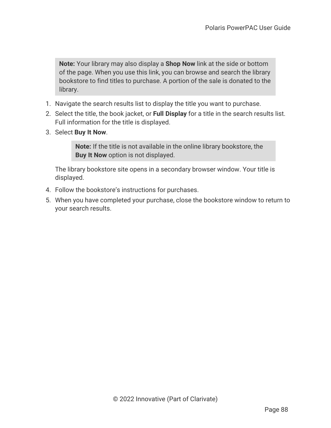**Note:** Your library may also display a **Shop Now** link at the side or bottom of the page. When you use this link, you can browse and search the library bookstore to find titles to purchase. A portion of the sale is donated to the library.

- 1. Navigate the search results list to display the title you want to purchase.
- 2. Select the title, the book jacket, or **Full Display** for a title in the search results list. Full information for the title is displayed.
- 3. Select **Buy It Now**.

**Note:** If the title is not available in the online library bookstore, the **Buy It Now** option is not displayed.

The library bookstore site opens in a secondary browser window. Your title is displayed.

- 4. Follow the bookstore's instructions for purchases.
- 5. When you have completed your purchase, close the bookstore window to return to your search results.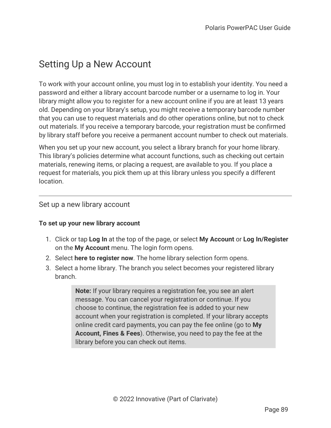## Setting Up a New Account

To work with your account online, you must log in to establish your identity. You need a password and either a library account barcode number or a username to log in. Your library might allow you to register for a new account online if you are at least 13 years old. Depending on your library's setup, you might receive a temporary barcode number that you can use to request materials and do other operations online, but not to check out materials. If you receive a temporary barcode, your registration must be confirmed by library staff before you receive a permanent account number to check out materials.

When you set up your new account, you select a library branch for your home library. This library's policies determine what account functions, such as checking out certain materials, renewing items, or placing a request, are available to you. If you place a request for materials, you pick them up at this library unless you specify a different location.

### Set up a new library account

### **To set up your new library account**

- 1. Click or tap **Log In** at the top of the page, or select **My Account** or **Log In/Register** on the **My Account** menu. The login form opens.
- 2. Select **here to register now**. The home library selection form opens.
- 3. Select a home library. The branch you select becomes your registered library branch.

**Note:** If your library requires a registration fee, you see an alert message. You can cancel your registration or continue. If you choose to continue, the registration fee is added to your new account when your registration is completed. If your library accepts online credit card payments, you can pay the fee online (go to **My Account, Fines & Fees**). Otherwise, you need to pay the fee at the library before you can check out items.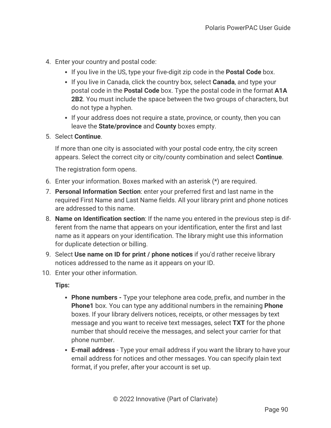- 4. Enter your country and postal code:
	- If you live in the US, type your five-digit zip code in the **Postal Code** box.
	- If you live in Canada, click the country box, select **Canada**, and type your postal code in the **Postal Code** box. Type the postal code in the format **A1A 2B2**. You must include the space between the two groups of characters, but do not type a hyphen.
	- If your address does not require a state, province, or county, then you can leave the **State/province** and **County** boxes empty.
- 5. Select **Continue**.

If more than one city is associated with your postal code entry, the city screen appears. Select the correct city or city/county combination and select **Continue**.

The registration form opens.

- 6. Enter your information. Boxes marked with an asterisk (\*) are required.
- 7. **Personal Information Section**: enter your preferred first and last name in the required First Name and Last Name fields. All your library print and phone notices are addressed to this name.
- 8. **Name on Identification section**: If the name you entered in the previous step is different from the name that appears on your identification, enter the first and last name as it appears on your identification. The library might use this information for duplicate detection or billing.
- 9. Select **Use name on ID for print / phone notices** if you'd rather receive library notices addressed to the name as it appears on your ID.
- 10. Enter your other information.

**Tips:**

- **Phone numbers -** Type your telephone area code, prefix, and number in the **Phone1** box. You can type any additional numbers in the remaining **Phone** boxes. If your library delivers notices, receipts, or other messages by text message and you want to receive text messages, select **TXT** for the phone number that should receive the messages, and select your carrier for that phone number.
- **E-mail address** Type your email address if you want the library to have your email address for notices and other messages. You can specify plain text format, if you prefer, after your account is set up.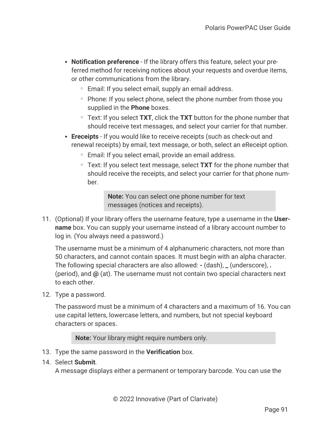- **Notification preference** If the library offers this feature, select your preferred method for receiving notices about your requests and overdue items, or other communications from the library.
	- Email: If you select email, supply an email address.
	- Phone: If you select phone, select the phone number from those you supplied in the **Phone** boxes.
	- <sup>o</sup> Text: If you select **TXT**, click the **TXT** button for the phone number that should receive text messages, and select your carrier for that number.
- **Execeipts** If you would like to receive receipts (such as check-out and renewal receipts) by email, text message, or both, select an eReceipt option.
	- <sup>o</sup> Email: If you select email, provide an email address.
	- <sup>o</sup> Text: If you select text message, select **TXT** for the phone number that should receive the receipts, and select your carrier for that phone number.

**Note:** You can select one phone number for text messages (notices and receipts).

11. (Optional) If your library offers the username feature, type a username in the **Username** box. You can supply your username instead of a library account number to log in. (You always need a password.)

The username must be a minimum of 4 alphanumeric characters, not more than 50 characters, and cannot contain spaces. It must begin with an alpha character. The following special characters are also allowed: **-** (dash), **\_** (underscore), **.** (period), and **@** (at). The username must not contain two special characters next to each other.

12. Type a password.

The password must be a minimum of 4 characters and a maximum of 16. You can use capital letters, lowercase letters, and numbers, but not special keyboard characters or spaces.

**Note:** Your library might require numbers only.

- 13. Type the same password in the **Verification** box.
- 14. Select **Submit**.

A message displays either a permanent or temporary barcode. You can use the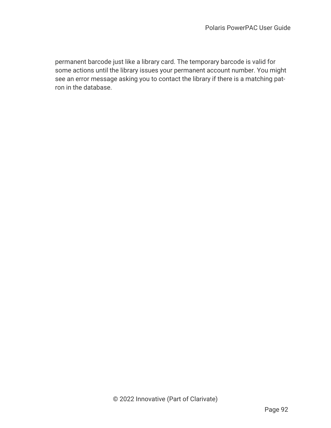permanent barcode just like a library card. The temporary barcode is valid for some actions until the library issues your permanent account number. You might see an error message asking you to contact the library if there is a matching patron in the database.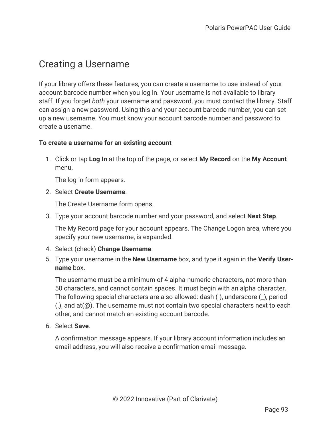## Creating a Username

If your library offers these features, you can create a username to use instead of your account barcode number when you log in. Your username is not available to library staff. If you forget *both* your username and password, you must contact the library. Staff can assign a new password. Using this and your account barcode number, you can set up a new username. You must know your account barcode number and password to create a usename.

### **To create a username for an existing account**

1. Click or tap **Log In** at the top of the page, or select **My Record** on the **My Account** menu.

The log-in form appears.

2. Select **Create Username**.

The Create Username form opens.

3. Type your account barcode number and your password, and select **Next Step**.

The My Record page for your account appears. The Change Logon area, where you specify your new username, is expanded.

- 4. Select (check) **Change Username**.
- 5. Type your username in the **New Username** box, and type it again in the **Verify Username** box.

The username must be a minimum of 4 alpha-numeric characters, not more than 50 characters, and cannot contain spaces. It must begin with an alpha character. The following special characters are also allowed: dash (-), underscore (\_), period  $(.)$ , and at $(\varpi)$ . The username must not contain two special characters next to each other, and cannot match an existing account barcode.

6. Select **Save**.

A confirmation message appears. If your library account information includes an email address, you will also receive a confirmation email message.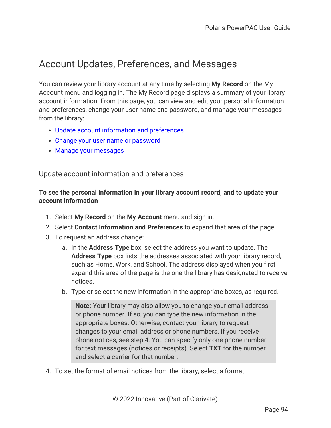# <span id="page-98-0"></span>Account Updates, Preferences, and Messages

You can review your library account at any time by selecting **My Record** on the My Account menu and logging in. The My Record page displays a summary of your library account information. From this page, you can view and edit your personal information and preferences, change your user name and password, and manage your messages from the library:

- Update account information and [preferences](#page-98-1)
- Change your user name or [password](#page-100-0)
- <span id="page-98-1"></span>• Manage your [messages](#page-101-0)

Update account information and preferences

### **To see the personal information in your library account record, and to update your account information**

- 1. Select **My Record** on the **My Account** menu and sign in.
- 2. Select **Contact Information and Preferences** to expand that area of the page.
- 3. To request an address change:
	- a. In the **Address Type** box, select the address you want to update. The **Address Type** box lists the addresses associated with your library record, such as Home, Work, and School. The address displayed when you first expand this area of the page is the one the library has designated to receive notices.
	- b. Type or select the new information in the appropriate boxes, as required.

**Note:** Your library may also allow you to change your email address or phone number. If so, you can type the new information in the appropriate boxes. Otherwise, contact your library to request changes to your email address or phone numbers. If you receive phone notices, see step 4. You can specify only one phone number for text messages (notices or receipts). Select **TXT** for the number and select a carrier for that number.

4. To set the format of email notices from the library, select a format: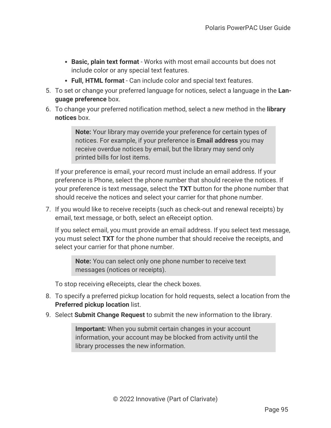- **Basic, plain text format** Works with most email accounts but does not include color or any special text features.
- <sup>l</sup> **Full, HTML format** Can include color and special text features.
- 5. To set or change your preferred language for notices, select a language in the **Language preference** box.
- 6. To change your preferred notification method, select a new method in the **library notices** box.

**Note:** Your library may override your preference for certain types of notices. For example, if your preference is **Email address** you may receive overdue notices by email, but the library may send only printed bills for lost items.

If your preference is email, your record must include an email address. If your preference is Phone, select the phone number that should receive the notices. If your preference is text message, select the **TXT** button for the phone number that should receive the notices and select your carrier for that phone number.

7. If you would like to receive receipts (such as check-out and renewal receipts) by email, text message, or both, select an eReceipt option.

If you select email, you must provide an email address. If you select text message, you must select **TXT** for the phone number that should receive the receipts, and select your carrier for that phone number.

**Note:** You can select only one phone number to receive text messages (notices or receipts).

To stop receiving eReceipts, clear the check boxes.

- 8. To specify a preferred pickup location for hold requests, select a location from the **Preferred pickup location** list.
- 9. Select **Submit Change Request** to submit the new information to the library.

**Important:** When you submit certain changes in your account information, your account may be blocked from activity until the library processes the new information.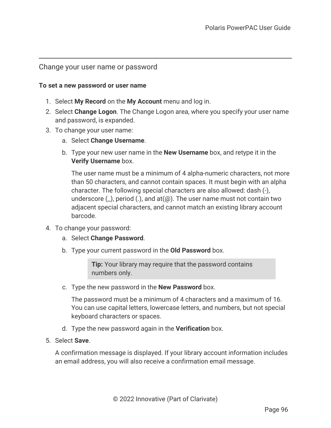### <span id="page-100-0"></span>Change your user name or password

#### **To set a new password or user name**

- 1. Select **My Record** on the **My Account** menu and log in.
- 2. Select **Change Logon**. The Change Logon area, where you specify your user name and password, is expanded.
- 3. To change your user name:
	- a. Select **Change Username**.
	- b. Type your new user name in the **New Username** box, and retype it in the **Verify Username** box.

The user name must be a minimum of 4 alpha-numeric characters, not more than 50 characters, and cannot contain spaces. It must begin with an alpha character. The following special characters are also allowed: dash (-), underscore  $($ ), period  $($ ), and at $($  $@)$ . The user name must not contain two adjacent special characters, and cannot match an existing library account barcode.

- 4. To change your password:
	- a. Select **Change Password**.
	- b. Type your current password in the **Old Password** box.

**Tip:** Your library may require that the password contains numbers only.

c. Type the new password in the **New Password** box.

The password must be a minimum of 4 characters and a maximum of 16. You can use capital letters, lowercase letters, and numbers, but not special keyboard characters or spaces.

- d. Type the new password again in the **Verification** box.
- 5. Select **Save**.

A confirmation message is displayed. If your library account information includes an email address, you will also receive a confirmation email message.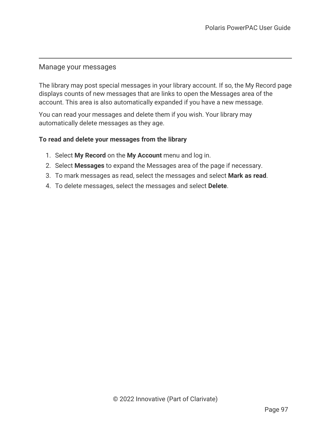### <span id="page-101-0"></span>Manage your messages

The library may post special messages in your library account. If so, the My Record page displays counts of new messages that are links to open the Messages area of the account. This area is also automatically expanded if you have a new message.

You can read your messages and delete them if you wish. Your library may automatically delete messages as they age.

### **To read and delete your messages from the library**

- 1. Select **My Record** on the **My Account** menu and log in.
- 2. Select **Messages** to expand the Messages area of the page if necessary.
- 3. To mark messages as read, select the messages and select **Mark as read**.
- 4. To delete messages, select the messages and select **Delete**.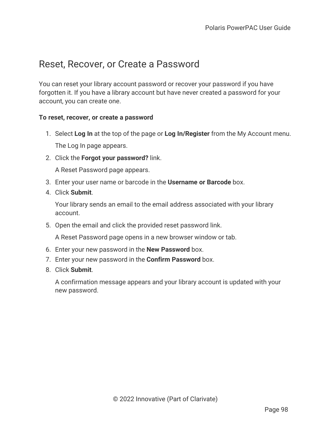## Reset, Recover, or Create a Password

You can reset your library account password or recover your password if you have forgotten it. If you have a library account but have never created a password for your account, you can create one.

### **To reset, recover, or create a password**

- 1. Select **Log In** at the top of the page or **Log In/Register** from the My Account menu. The Log In page appears.
- 2. Click the **Forgot your password?** link.

A Reset Password page appears.

- 3. Enter your user name or barcode in the **Username or Barcode** box.
- 4. Click **Submit**.

Your library sends an email to the email address associated with your library account.

5. Open the email and click the provided reset password link.

A Reset Password page opens in a new browser window or tab.

- 6. Enter your new password in the **New Password** box.
- 7. Enter your new password in the **Confirm Password** box.
- 8. Click **Submit**.

A confirmation message appears and your library account is updated with your new password.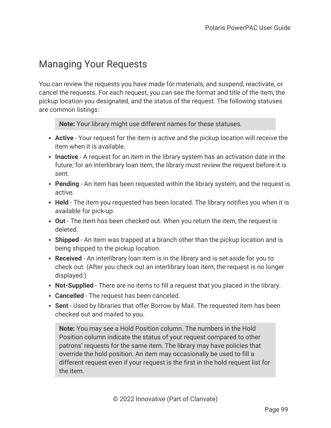# Managing Your Requests

You can review the requests you have made for materials, and suspend, reactivate, or cancel the requests. For each request, you can see the format and title of the item, the pickup location you designated, and the status of the request. The following statuses are common listings:

**Note:** Your library might use different names for these statuses.

- **Active** Your request for the item is active and the pickup location will receive the item when it is available.
- **Inactive** A request for an item in the library system has an activation date in the future; for an interlibrary loan item, the library must review the request before it is sent.
- **Pending** An item has been requested within the library system, and the request is active.
- Held The item you requested has been located. The library notifies you when it is available for pick-up.
- **Out** The item has been checked out. When you return the item, the request is deleted.
- **Shipped** An item was trapped at a branch other than the pickup location and is being shipped to the pickup location.
- **Received** An interlibrary loan item is in the library and is set aside for you to check out. (After you check out an interlibrary loan item, the request is no longer displayed.)
- **Not-Supplied** There are no items to fill a request that you placed in the library.
- **Cancelled** The request has been canceled.
- **Sent** Used by libraries that offer Borrow by Mail. The requested item has been checked out and mailed to you.

**Note:** You may see a Hold Position column. The numbers in the Hold Position column indicate the status of your request compared to other patrons' requests for the same item. The library may have policies that override the hold position. An item may occasionally be used to fill a different request even if your request is the first in the hold request list for the item.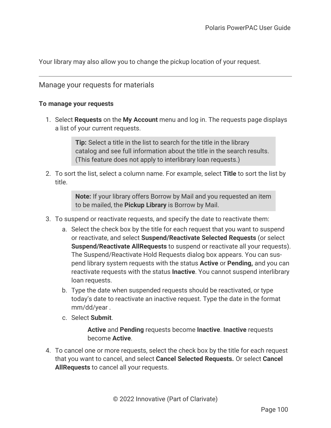Your library may also allow you to change the pickup location of your request.

## Manage your requests for materials

#### **To manage your requests**

1. Select **Requests** on the **My Account** menu and log in. The requests page displays a list of your current requests.

> **Tip:** Select a title in the list to search for the title in the library catalog and see full information about the title in the search results. (This feature does not apply to interlibrary loan requests.)

2. To sort the list, select a column name. For example, select **Title** to sort the list by title.

> **Note:** If your library offers Borrow by Mail and you requested an item to be mailed, the **Pickup Library** is Borrow by Mail.

- 3. To suspend or reactivate requests, and specify the date to reactivate them:
	- a. Select the check box by the title for each request that you want to suspend or reactivate, and select **Suspend/Reactivate Selected Requests** (or select **Suspend/Reactivate AllRequests** to suspend or reactivate all your requests). The Suspend/Reactivate Hold Requests dialog box appears. You can suspend library system requests with the status **Active** or **Pending,** and you can reactivate requests with the status **Inactive**. You cannot suspend interlibrary loan requests.
	- b. Type the date when suspended requests should be reactivated, or type today's date to reactivate an inactive request. Type the date in the format mm/dd/year .
	- c. Select **Submit**.

**Active** and **Pending** requests become **Inactive**. **Inactive** requests become **Active**.

4. To cancel one or more requests, select the check box by the title for each request that you want to cancel, and select **Cancel Selected Requests.** Or select **Cancel AllRequests** to cancel all your requests.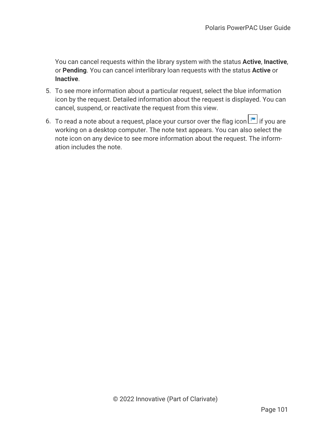You can cancel requests within the library system with the status **Active**, **Inactive**, or **Pending**. You can cancel interlibrary loan requests with the status **Active** or **Inactive**.

- 5. To see more information about a particular request, select the blue information icon by the request. Detailed information about the request is displayed. You can cancel, suspend, or reactivate the request from this view.
- 6. To read a note about a request, place your cursor over the flag icon  $\Box$  if you are working on a desktop computer. The note text appears. You can also select the note icon on any device to see more information about the request. The information includes the note.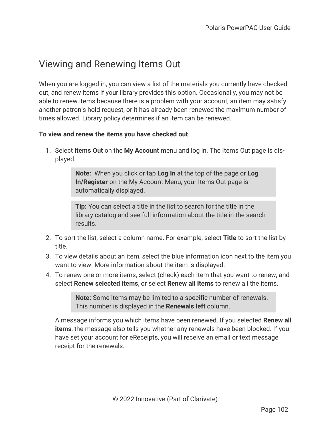# Viewing and Renewing Items Out

When you are logged in, you can view a list of the materials you currently have checked out, and renew items if your library provides this option. Occasionally, you may not be able to renew items because there is a problem with your account, an item may satisfy another patron's hold request, or it has already been renewed the maximum number of times allowed. Library policy determines if an item can be renewed.

### **To view and renew the items you have checked out**

1. Select **Items Out** on the **My Account** menu and log in. The Items Out page is displayed.

> **Note:** When you click or tap **Log In** at the top of the page or **Log In/Register** on the My Account Menu, your Items Out page is automatically displayed.

**Tip:** You can select a title in the list to search for the title in the library catalog and see full information about the title in the search results.

- 2. To sort the list, select a column name. For example, select **Title** to sort the list by title.
- 3. To view details about an item, select the blue information icon next to the item you want to view. More information about the item is displayed.
- 4. To renew one or more items, select (check) each item that you want to renew, and select **Renew selected items**, or select **Renew all items** to renew all the items.

**Note:** Some items may be limited to a specific number of renewals. This number is displayed in the **Renewals left** column.

A message informs you which items have been renewed. If you selected **Renew all items**, the message also tells you whether any renewals have been blocked. If you have set your account for eReceipts, you will receive an email or text message receipt for the renewals.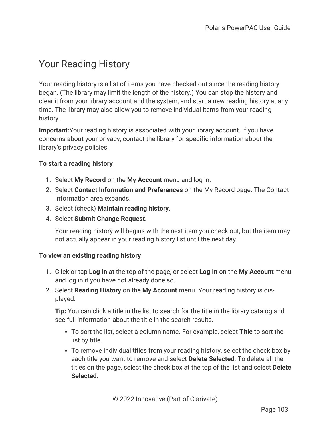# Your Reading History

Your reading history is a list of items you have checked out since the reading history began. (The library may limit the length of the history.) You can stop the history and clear it from your library account and the system, and start a new reading history at any time. The library may also allow you to remove individual items from your reading history.

**Important:**Your reading history is associated with your library account. If you have concerns about your privacy, contact the library for specific information about the library's privacy policies.

## **To start a reading history**

- 1. Select **My Record** on the **My Account** menu and log in.
- 2. Select **Contact Information and Preferences** on the My Record page. The Contact Information area expands.
- 3. Select (check) **Maintain reading history**.
- 4. Select **Submit Change Request**.

Your reading history will begins with the next item you check out, but the item may not actually appear in your reading history list until the next day.

### **To view an existing reading history**

- 1. Click or tap **Log In** at the top of the page, or select **Log In** on the **My Account** menu and log in if you have not already done so.
- 2. Select **Reading History** on the **My Account** menu. Your reading history is displayed.

**Tip:** You can click a title in the list to search for the title in the library catalog and see full information about the title in the search results.

- To sort the list, select a column name. For example, select **Title** to sort the list by title.
- To remove individual titles from your reading history, select the check box by each title you want to remove and select **Delete Selected**. To delete all the titles on the page, select the check box at the top of the list and select **Delete Selected**.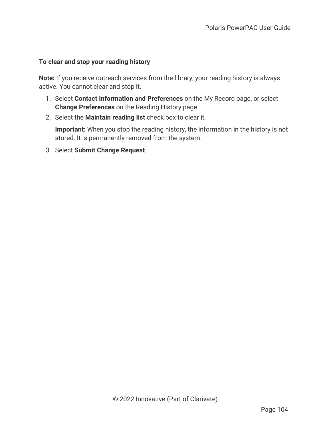### **To clear and stop your reading history**

**Note:** If you receive outreach services from the library, your reading history is always active. You cannot clear and stop it.

- 1. Select **Contact Information and Preferences** on the My Record page, or select **Change Preferences** on the Reading History page.
- 2. Select the **Maintain reading list** check box to clear it.

**Important:** When you stop the reading history, the information in the history is not stored. It is permanently removed from the system.

3. Select **Submit Change Request**.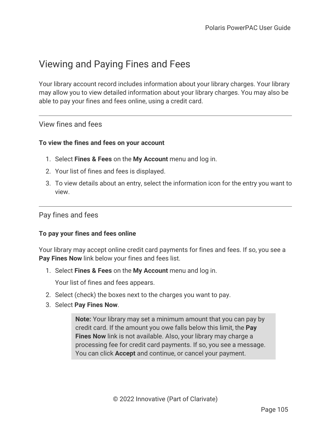# Viewing and Paying Fines and Fees

Your library account record includes information about your library charges. Your library may allow you to view detailed information about your library charges. You may also be able to pay your fines and fees online, using a credit card.

### View fines and fees

### **To view the fines and fees on your account**

- 1. Select **Fines & Fees** on the **My Account** menu and log in.
- 2. Your list of fines and fees is displayed.
- 3. To view details about an entry, select the information icon for the entry you want to view.

### Pay fines and fees

### **To pay your fines and fees online**

Your library may accept online credit card payments for fines and fees. If so, you see a **Pay Fines Now** link below your fines and fees list.

1. Select **Fines & Fees** on the **My Account** menu and log in.

Your list of fines and fees appears.

- 2. Select (check) the boxes next to the charges you want to pay.
- 3. Select **Pay Fines Now**.

**Note:** Your library may set a minimum amount that you can pay by credit card. If the amount you owe falls below this limit, the **Pay Fines Now** link is not available. Also, your library may charge a processing fee for credit card payments. If so, you see a message. You can click **Accept** and continue, or cancel your payment.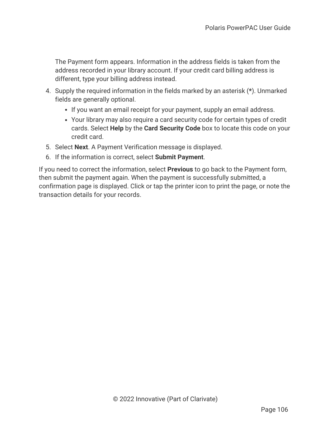The Payment form appears. Information in the address fields is taken from the address recorded in your library account. If your credit card billing address is different, type your billing address instead.

- 4. Supply the required information in the fields marked by an asterisk (**\***). Unmarked fields are generally optional.
	- If you want an email receipt for your payment, supply an email address.
	- Your library may also require a card security code for certain types of credit cards. Select **Help** by the **Card Security Code** box to locate this code on your credit card.
- 5. Select **Next**. A Payment Verification message is displayed.
- 6. If the information is correct, select **Submit Payment**.

If you need to correct the information, select **Previous** to go back to the Payment form, then submit the payment again. When the payment is successfully submitted, a confirmation page is displayed. Click or tap the printer icon to print the page, or note the transaction details for your records.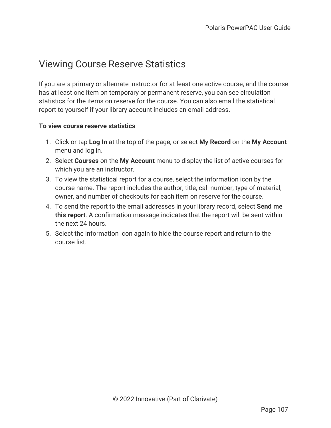### Viewing Course Reserve Statistics

If you are a primary or alternate instructor for at least one active course, and the course has at least one item on temporary or permanent reserve, you can see circulation statistics for the items on reserve for the course. You can also email the statistical report to yourself if your library account includes an email address.

### **To view course reserve statistics**

- 1. Click or tap **Log In** at the top of the page, or select **My Record** on the **My Account** menu and log in.
- 2. Select **Courses** on the **My Account** menu to display the list of active courses for which you are an instructor.
- 3. To view the statistical report for a course, select the information icon by the course name. The report includes the author, title, call number, type of material, owner, and number of checkouts for each item on reserve for the course.
- 4. To send the report to the email addresses in your library record, select **Send me this report**. A confirmation message indicates that the report will be sent within the next 24 hours.
- 5. Select the information icon again to hide the course report and return to the course list.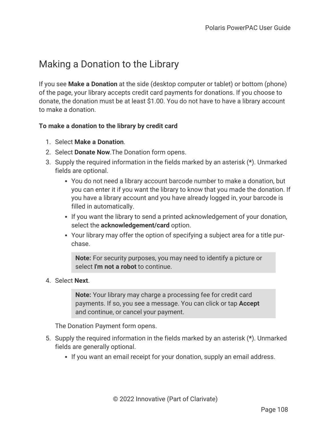## Making a Donation to the Library

If you see **Make a Donation** at the side (desktop computer or tablet) or bottom (phone) of the page, your library accepts credit card payments for donations. If you choose to donate, the donation must be at least \$1.00. You do not have to have a library account to make a donation.

### **To make a donation to the library by credit card**

- 1. Select **Make a Donation**.
- 2. Select **Donate Now**.The Donation form opens.
- 3. Supply the required information in the fields marked by an asterisk (**\***). Unmarked fields are optional.
	- You do not need a library account barcode number to make a donation, but you can enter it if you want the library to know that you made the donation. If you have a library account and you have already logged in, your barcode is filled in automatically.
	- If you want the library to send a printed acknowledgement of your donation, select the **acknowledgement/card** option.
	- Your library may offer the option of specifying a subject area for a title purchase.

**Note:** For security purposes, you may need to identify a picture or select **I'm not a robot** to continue.

### 4. Select **Next**.

**Note:** Your library may charge a processing fee for credit card payments. If so, you see a message. You can click or tap **Accept** and continue, or cancel your payment.

The Donation Payment form opens.

- 5. Supply the required information in the fields marked by an asterisk (**\***). Unmarked fields are generally optional.
	- If you want an email receipt for your donation, supply an email address.